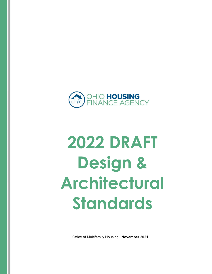

# **2022 DRAFT Design & Architectural Standards**

Office of Multifamily Housing | **November 2021**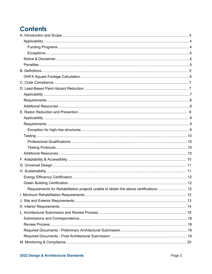# **Contents**

| Requirements for Rehabilitation projects unable to obtain the above certifications12 |  |
|--------------------------------------------------------------------------------------|--|
|                                                                                      |  |
|                                                                                      |  |
|                                                                                      |  |
|                                                                                      |  |
|                                                                                      |  |
|                                                                                      |  |
|                                                                                      |  |
|                                                                                      |  |
|                                                                                      |  |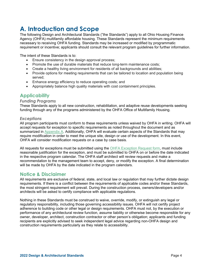# **A. Introduction and Scope**

The following Design and Architectural Standards ("the Standards") apply to all Ohio Housing Finance Agency (OHFA) multifamily affordable housing. These Standards represent the minimum requirements necessary to receiving OHFA funding. Standards may be increased or modified by programmatic requirement or incentive; applicants should consult the relevant program guidelines for further information.

The intent of these Standards is to:

- Ensure consistency in the design approval process;
- Promote the use of durable materials that reduce long-term maintenance costs;
- Create a healthy living environment for residents of all backgrounds and abilities;
- Provide options for meeting requirements that can be tailored to location and population being served;
- Enhance energy efficiency to reduce operating costs; and
- Appropriately balance high quality materials with cost containment principles.

# **Applicability**

## *Funding Programs*

These Standards apply to all new construction, rehabilitation, and adaptive reuse developments seeking funding through any of the programs administered by the OHFA Office of Multifamily Housing.

## *Exceptions*

All program participants must conform to these requirements unless waived by OHFA in writing. OHFA will accept requests for exception to specific requirements as noted throughout the document and as summarized in Appendix A. Additionally, OHFA will evaluate certain aspects of the Standards that may require modification in order to meet the unique site, design or use of the development. In this event, OHFA will consider modification requests on a case by case basis.

All requests for exceptions must be submitted using the OHFA Exception Request form, must include reasonable justification for the exception, and must be submitted to OHFA on or before the date indicated in the respective program calendar. The OHFA staff architect will review requests and make a recommendation to the management team to accept, deny, or modify the exception. A final determination will be made by OHFA by the date indicated in the program calendars.

# **Notice & Disclaimer**

All requirements are exclusive of federal, state, and local law or regulation that may further dictate design requirements. If there is a conflict between the requirements of applicable codes and/or these Standards, the most stringent requirement will prevail. During the construction process, owners/developers and/or architects will be asked to certify compliance with applicable regulations.

Nothing in these Standards must be construed to waive, override, modify, or extinguish any legal or regulatory responsibility, including those governing accessibility issues. OHFA will not certify project adherence to building code or other legal or design requirements. OHFA must not, by the execution or performance of any architectural review function, assume liability or otherwise become responsible for any owner, developer, architect, construction contractor or other person's obligation; applicants and funding recipients are explicitly advised to seek independent legal advice regarding non-OHFA design and construction requirements particularly as they relate to accessibility.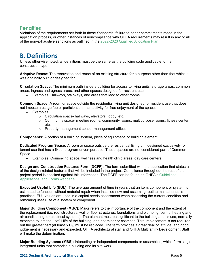# **Penalties**

Violations of the requirements set forth in these Standards, failure to honor commitments made in the application process, or other instances of noncompliance with OHFA requirements may result in any or all of the non-exhaustive sanctions as outlined in the 2022-2023 Qualified Allocation Plan.

# **B. Definitions**

Unless otherwise noted, all definitions must be the same as the building code applicable to the construction type.

**Adaptive Reuse:** The renovation and reuse of an existing structure for a purpose other than that which it was originally built or designed for.

**Circulation Space:** The minimum path inside a building for access to living units, storage areas, common areas, ingress and egress areas, and other spaces designed for resident use.

Examples: Hallways, stairways, and areas that lead to other rooms

**Common Space:** A room or space outside the residential living unit designed for resident use that does not impose a usage fee or participation in an activity for free enjoyment of the space.

- Examples:
	- o Circulation space- hallways, elevators, lobby, etc.
	- $\circ$  Community space- meeting rooms, community rooms, multipurpose rooms, fitness center, etc.
	- o Property management space- management offices

**Components:** A portion of a building system, piece of equipment, or building element.

**Dedicated Program Space:** A room or space outside the residential living unit designed exclusively for tenant use that has a fixed, program-driven purpose. These spaces are not considered part of Common Space.

Examples: Counseling space, wellness and health clinic areas, day care centers

**Design and Construction Features Form (DCFF):** The form submitted with the application that states all of the design-related features that will be included in the project. Compliance throughout the rest of the project period is checked against this information. The DCFF can be found on OHFA's Guidelines, Applications, and Forms webpage.

**Expected Useful Life (EUL):** The average amount of time in years that an item, component or system is estimated to function without material repair when installed new and assuming routine maintenance is practiced. EUL values are used in a capital needs assessment when assessing the current condition and remaining useful life of a system or component.

**Major Building Component (MBC):** Major refers to the importance of the component and the extent of the replacement (i.e. roof structures, wall or floor structures, foundations and plumbing, central heating and air conditioning, or electrical systems). The element must be significant to the building and its use, normally expected to last the useful life of the building, and not minor or cosmetic. Total replacement is not required but the greater part (at least 50%) must be replaced. The term provides a great deal of latitude, and good judgement is necessary and expected. OHFA architectural staff and OHFA Multifamily Development Staff will make the determination.

**Major Building Systems (MBS):** Interacting or independent components or assemblies, which form single integrated units that comprise a building and its site work.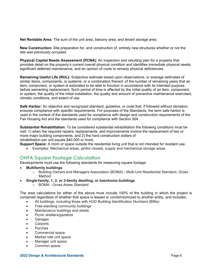**Net Rentable Area:** The sum of the unit area, balcony area, and tenant storage area.

**New Construction:** Site preparation for, and construction of, entirely new structures whether or not the site was previously occupied.

**Physical Capital Needs Assessment (PCNA):** An inspection and resulting plan for a property that provides detail on the property's current overall physical condition and identifies immediate physical needs, significant deferred maintenance, and an opinion of costs to remedy physical deficiencies.

**Remaining Useful Life (RUL):** Subjective estimate based upon observations, or average estimates of similar items, components, or systems, or a combination thereof, of the number of remaining years that an item, component, or system is estimated to be able to function in accordance with its intended purpose before warranting replacement. Such period of time is affected by the initial quality of an item, component, or system, the quality of the initial installation, the quality and amount of preventive maintenance exercised, climatic conditions, and extent of use.

**Safe Harbor:** An objective and recognized standard, guideline, or code that, if followed without deviation, ensures compliance with specific requirements. For purposes of the Standards, the term safe harbor is used in the context of the standards used for compliance with design and construction requirements of the Fair Housing Act and the standards used for compliance with Section 504.

**Substantial Rehabilitation:** To be considered substantial rehabilitation the following conditions must be met: 1) when the required repairs, replacements, and improvements involve the replacement of two or more major building components, and 2) the hard construction dollars of rehabilitation per unit equals \$40,000 or more.

**Support Space:** A room or space outside the residential living unit that is not intended for resident use.

Examples: Mechanical areas, janitor closets, supply and mechanical storage areas

# **OHFA Square Footage Calculation**

Developments must use the following standards for measuring square footage:

- **Multifamily buildings**
	- o Building Owners and Managers Association (BOMA) Multi-Unit Residential Standard, Gross Method
- **Single-family, 1, 2, or 3-family dwelling, or townhome buildings**
	- o BOMA Gross Areas Standard

The area calculations for either of the above must include 100% of the building in which the project is contained regardless of whether that space is leased or condominimized to another entity, and includes:

- All buildings, including those with HUD Building Identification Numbers (BINs)
- Free-standing community buildings
- Maintenance buildings and sheds
- Picnic shelters/gazebos
- **Garages**
- **Carports**
- Porches
- Commercial space
- Market rate unit space
- Manager unit space
- Common space

#### **2022 Design & Architectural Standards** Page 6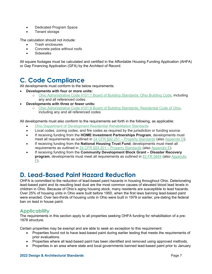- Dedicated Program Space
- Tenant storage

The calculation should not include:

- Trash enclosures
- Concrete patios without roofs
- **•** Sidewalks

All square footages must be calculated and certified in the Affordable Housing Funding Application (AHFA) or Gap Financing Application (GFA) by the Architect of Record.

# **C. Code Compliance**

All developments must conform to the below requirements:

- **Developments with four or more units:** 
	- o Ohio Administrative Code 4101:1 Board of Building Standards: Ohio Building Code, including any and all referenced codes
- **Developments with three or fewer units:** 
	- o Ohio Administrative Code 4101:8 Board of Building Standards: Residential Code of Ohio, including any and all referenced codes

All developments must also conform to the requirements set forth in the following, as applicable:

- Ohio Department of Development Residential Rehabilitation Standards
- Local codes, zoning codes, and fire codes as required by the jurisdiction or funding source.
- If receiving funding from the **HOME Investment Partnerships Program**, developments must meet all requirements as outlined in 24 CFR §92.251 – Property Standards (also Appendix D).
- If receiving funding from the **National Housing Trust Fund**, developments must meet all requirements as outlined in 24 CFR §93.301 – Property Standards (also Appendix E).
- If receiving funding from the **Community Development Block Grant Disaster Recovery program**, developments must meet all requirements as outlined in 83 FR 5844 (also Appendix  $E$ ).

# **D. Lead-Based Paint Hazard Reduction**

OHFA is committed to the reduction of lead-based paint hazards in housing throughout Ohio. Deteriorating lead-based paint and its resulting lead dust are the most common causes of elevated blood lead levels in children in Ohio. Because of Ohio's aging housing stock, many residents are susceptible to lead hazards. Over 25% of housing units in Ohio were built before 1950, when the first laws banning lead-based paint were enacted. Over two-thirds of housing units in Ohio were built in 1979 or earlier, pre-dating the federal ban on lead in house paint.

# **Applicability**

The requirements in this section apply to all properties seeking OHFA funding for rehabilitation of a pre-1978 structure.

Certain properties may be exempt and are able to seek an exception to this requirement:

- Properties found not to have lead-based paint during earlier testing that meets the requirements of prior evaluations.
- Properties where all lead-based paint has been identified and removed using approved methods.
- Properties in an area where state and local governments banned lead-based paint prior to January

#### **2022 Design & Architectural Standards** Page 7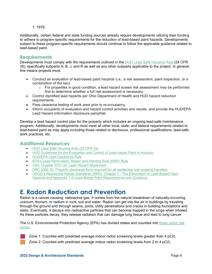#### 1, 1978.

Additionally, certain federal and state funding sources already require developments utilizing their funding to adhere to program-specific requirements for the reduction of lead-based paint hazards. Developments subject to these program-specific requirements should continue to follow the applicable guidance related to lead-based paint.

# **Requirements**

Developments must comply with the requirements outlined in the HUD Lead Safe Housing Rule (24 CFR 35), specifically subparts A, B, J, and R as well as any other subparts applicable to the project. In general, this means projects must:

- Conduct an evaluation of lead-based paint hazards (i.e., a risk assessment, paint inspection, or a combination of the two).
	- $\circ$  For properties in good condition, a lead hazard screen risk assessment may be performed first to determine whether a full risk assessment is necessary.
- Control identified lead hazards per Ohio Department of Health and HUD hazard reduction requirements.
- Pass clearance testing of work area prior to re-occupancy.
- Inform occupants of evaluation and hazard control activities and results, and provide the HUD/EPA Lead Hazard information disclosure pamphlet.

Develop a lead hazard control plan for the property which includes an ongoing lead-safe maintenance program. Additionally, developments must meet all other local, state, and federal requirements related to lead-based paint as may apply including those related to disclosure, professional qualifications, lead-safe work practices, etc.

# **Additional Resources**

- HUD Lead Safe Housing Rule (24 CFR 35)
- HUD Guidelines for the Evaluation and Control of Lead-based Paint in Housing
- **HUD/EPA Lead Disclosure Rule**
- EPA's Lead Renovation, Repair and Painting Rule (RRP) Rule
- OAC Chapter 3701-32: Lead Hazard Abatement
- ORC 5302.30: Property disclosure form required for all residential real property transfers
- ODOD's Residential Rehab Standards (RRS): Chapter 7 The Elimination of Lead-Based Paint Hazards and Appendix 7-A Lead-Based Paint Requirements and Guidance

# **E. Radon Reduction and Prevention**

Radon is a cancer-causing, radioactive gas. It comes from the natural breakdown of naturally-occurring uranium, thorium, or radium in rock, soil and water. Radon can get into the air in buildings by traveling through the ground and through seams, joints, utility penetrations and cracks in building foundations and slabs. Eventually, it decays into radioactive particles that can become trapped in the lungs when inhaled. As these particles decay, they release radiation that can damage lung tissue and lead to lung cancer.

The U.S. Environmental Protection Agency (EPA) has divided states and counties into three radon risk zones.

Zone 1: Counties with predicted average indoor radon screening levels greater than 4 pCi/L

Zone 2: Counties with predicted average indoor radon screening levels from 2 to 4 pCi/L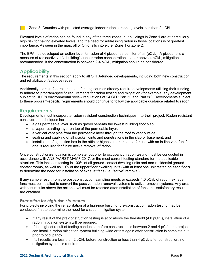Zone 3: Counties with predicted average indoor radon screening levels less than 2 pCi/L

Elevated levels of radon can be found in any of the three zones, but buildings in Zone 1 are at particularly high risk for having elevated levels, and the need for addressing radon in those locations is of greatest importance. As seen in the map, all of Ohio falls into either Zone 1 or Zone 2.

The EPA has developed an action level for radon of 4 picocuries per liter of air (pCi/L). A picocurie is a measure of radioactivity. If a building's indoor radon concentration is at or above 4 pCi/L, mitigation is recommended. If the concentration is between 2-4 pCi/L, mitigation should be considered.

# **Applicability**

The requirements in this section apply to all OHFA-funded developments, including both new construction and rehabilitation/adaptive reuse.

Additionally, certain federal and state funding sources already require developments utilizing their funding to adhere to program-specific requirements for radon testing and mitigation (for example, any development subject to HUD's environmental review regulations at 24 CFR Part 50 and Part 58). Developments subject to these program-specific requirements should continue to follow the applicable guidance related to radon.

# **Requirements**

Developments must incorporate radon-resistant construction techniques into their project. Radon-resistant construction techniques include:

- a gas permeable layer such as gravel beneath the lowest building floor slab,
- a vapor retarding layer on top of the permeable layer,
- a vertical vent pipe from the permeable layer through the roof to vent outside,
- sealing and caulking of all cracks, joints and penetrations in the slab or basement, and
- installation of a junction box in the attic or highest interior space for use with an in-line vent fan if one is required for future active removal of radon.

Once construction/renovation is complete, but prior to occupancy, radon testing must be conducted in accordance with ANSI/AARST MAMF-2017, or the most current testing standard for the applicable structure. This includes testing in 100% of all ground-contact dwelling units and non-residential groundcontact rooms, as well as 10% of the upper floor dwelling units (with at least one unit tested on each floor) to determine the need for installation of exhaust fans (i.e. "active" removal).

If any sample result from the post-construction sampling meets or exceeds 4.0 pCi/L of radon, exhaust fans must be installed to convert the passive radon removal systems to active removal systems. Any area with test results above the action level must be retested after installation of fans until satisfactory results are obtained.

## *Exception for high-rise structures*

For projects involving the rehabilitation of a high-rise building, pre-construction radon testing may be conducted first to determine the need for a radon mitigation system.

- If any result of the pre-construction testing is at or above the threshold  $(4.0 \text{ pCi/L})$ , installation of a radon mitigation system will be required.
- If the highest result of testing conducted before construction is between 2 and 4 pCi/L, the project can install a radon mitigation system building-wide or test again after construction is complete but prior to occupancy.
- If all results are less than 2 pCi/L before construction or less than 4 pCi/L after construction, no mitigation system is required.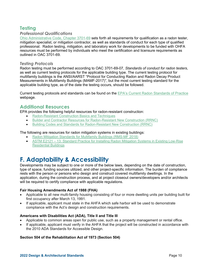# **Testing**

# *Professional Qualifications*

Ohio Administrative Code, Chapter 3701-69 sets forth all requirements for qualification as a radon tester, mitigation specialist, or mitigation contractor, as well as standards of conduct for each type of qualified professional. Radon testing, mitigation, and laboratory work for developments to be funded with OHFA resources must be performed by individuals who meet the certification and licensure requirements as outlined in OAC 3701-69.

## *Testing Protocols*

Radon testing must be performed according to OAC 3701-69-07, *Standards of conduct for radon testers*, as well as current testing protocols for the applicable building type. The current testing protocol for multifamily buildings is the ANSI/AARST "Protocol for Conducting Radon and Radon Decay Product Measurements in Multifamily Buildings (MAMF-2017)", but the most current testing standard for the applicable building type, as of the date the testing occurs, should be followed.

Current testing protocols and standards can be found on the EPA's Current Radon Standards of Practice webpage.

# **Additional Resources**

EPA provides the following helpful resources for radon-resistant construction:

- Radon-Resistant Construction Basics and Techniques
- Builder and Contractor Resources for Radon-Resistant New Construction (RRNC)
- Building Codes and Standards for Radon-Resistant New Construction (RRNC)

The following are resources for radon mitigation systems in existing buildings:

- Radon Mitigation Standards for Multifamily Buildings (RMS-MF 2018)
- ASTM E2121 13: Standard Practice for Installing Radon Mitigation Systems in Existing Low-Rise Residential Buildings

# **F. Adaptability & Accessibility**

Developments may be subject to one or more of the below laws, depending on the date of construction, type of space, funding sources utilized, and other project-specific information. The burden of compliance rests with the person or persons who design and construct covered multifamily dwellings. In the application, during the construction process, and at project closeout owners/developers and/or architects will be required to certify compliance with applicable regulations.

## **Fair Housing Amendments Act of 1988 (FHA)**

- Applicable to all new multi-family housing consisting of four or more dwelling units per building built for first occupancy after March 13, 1991.
- If applicable, applicant must state in the AHFA which safe harbor will be used to demonstrate compliance with the Act's design and construction requirements.

## **Americans with Disabilities Act (ADA), Title II and Title III**

- Applicable to common areas open for public use, such as a property management or rental office.
- If applicable, applicant must verify in the AHFA that the project will be constructed in accordance with the 2010 ADA Standards for Accessible Design.

## **Section 504 of the Rehabilitation Act of 1973 (Section 504)**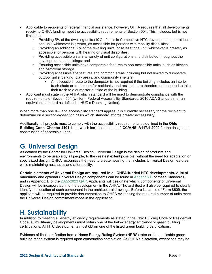- Applicable to recipients of federal financial assistance, however, OHFA requires that all developments receiving OHFA funding meet the accessibility requirements of Section 504. This includes, but is not limited to:
	- $\circ$  Providing 5% of the dwelling units (10% of units in Competitive HTC developments), or at least one unit, whichever is greater, as accessible for persons with mobility disabilities;
	- $\circ$  Providing an additional 2% of the dwelling units, or at least one unit, whichever is greater, as accessible for persons with hearing or visual disabilities;
	- $\circ$  Providing accessible units in a variety of unit configurations and distributed throughout the development and buildings; and
	- $\circ$  Ensuring accessible units have comparable features to non-accessible units, such as kitchen and bathroom storage.
	- $\circ$  Providing accessible site features and common areas including but not limited to dumpsters, outdoor grills, parking, play areas, and community shelters.
		- An accessible route to the dumpster is not required if the building includes an interior trash chute or trash room for residents, and residents are therefore not required to take their trash to a dumpster outside of the building.
- Applicant must state in the AHFA which standard will be used to demonstrate compliance with the requirements of Section 504 (Uniform Federal Accessibility Standards, 2010 ADA Standards, or an equivalent standard as defined in HUD's Deeming Notice).

When more than one law and accessibility standard applies, it is currently necessary for the recipient to determine on a section-by-section basis which standard affords greater accessibility.

Additionally, all projects must to comply with the accessibility requirements as outlined in the **Ohio Building Code, Chapter 4101:1-11**, which includes the use of **ICC/ANSI A117.1-2009** for the design and construction of accessible units.

# **G. Universal Design**

As defined by the Center for Universal Design, Universal Design is the design of products and environments to be usable by all people, to the greatest extent possible, without the need for adaptation or specialized design. OHFA recognizes the need to create housing that includes Universal Design features while maintaining aesthetics and affordability.

**Certain elements of Universal Design are required in all OHFA-funded HTC developments.** A list of mandatory and optional Universal Design components can be found in Appendix B of these Standards, and in Appendix D of the 2022-2023 QAP. Applicants will designate which, components of Universal Design will be incorporated into the development in the AHFA. The architect will also be required to clearly identify the location of each component in the architectural drawings. Before issuance of Form 8609, the applicant will be required to provide documentation to OHFA evidencing the required number of units meet the Universal Design commitment made in the application.

# **H. Sustainability**

In addition to meeting all energy efficiency requirements as stated in the Ohio Building Code or Residential Code, all multifamily developments must obtain one of the below energy efficiency or green building certifications. All HTC developments must obtain one of the listed green building certifications.

Evidence of final certification from a Home Energy Rating System (HERS) rater or the applicable green building rating system is required upon construction completion. At OHFA's discretion, exceptions may be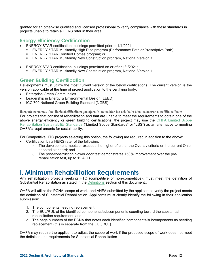granted for an otherwise qualified and licensed professional to verify compliance with these standards in projects unable to retain a HERS rater in their area.

# **Energy Efficiency Certification**

- ENERGY STAR certification, buildings permitted prior to 1/1/2021:
	- ENERGY STAR Multifamily High Rise program (Performance Path or Prescriptive Path);
	- ENERGY STAR Certified Homes program; or
	- ENERGY STAR Multifamily New Construction program, National Version 1.
- ENERGY STAR certification, buildings permitted on or after 1/1/2021:
	- **ENERGY STAR Multifamily New Construction program, National Version 1**

# **Green Building Certification**

Developments must utilize the most current version of the below certifications. The current version is the version applicable at the time of project application to the certifying body.

- Enterprise Green Communities
- Leadership in Energy & Environmental Design (LEED)
- ICC 700 National Green Building Standard (NGBS)

*Requirements for Rehabilitation projects unable to obtain the above certifications* 

For projects that consist of rehabilitation and that are unable to meet the requirements to obtain one of the above energy efficiency or green building certifications, the project may use the OHFA Limited Scope Rehabilitation Sustainability Standards ("Limited Scope Standards" or "LSS") as an alternative to meeting OHFA's requirements for sustainability.

For Competitive HTC projects selecting this option, the following are required in addition to the above:

- Certification by a HERS rater of the following:
	- $\circ$  The development meets or exceeds the higher of either the Overlay criteria or the current Ohio adopted standard; and
	- o The post-construction blower door test demonstrates 150% improvement over the prerehabilitation test, up to 12 ACH.

# **I. Minimum Rehabilitation Requirements**

Any rehabilitation projects seeking HTC (competitive or non-competitive), must meet the definition of Substantial Rehabilitation as stated in the **Definitions** section of this document..

OHFA will utilize the PCNA, scope of work, and AHFA submitted by the applicant to verify the project meets the definition of Substantial Rehabilitation. Applicants must clearly identify the following in their application submission:

- 1. The components needing replacement.
- 2. The EUL/RUL of the identified components/subcomponents counting toward the substantial rehabilitation requirement; and
- 3. The page numbers of the PCNA that notes each identified components/subcomponents as needing replacement (this is separate from the EUL/RUL).

OHFA may require the applicant to adjust the scope of work if the proposed scope of work does not meet the definition and requirements for Substantial Rehabilitation.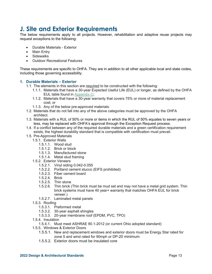# **J. Site and Exterior Requirements**

The below requirements apply to all projects. However, rehabilitation and adaptive reuse projects may request exceptions to the following:

- Durable Materials Exterior
- Main Entry
- Sidewalks
- Outdoor Recreational Features

These requirements are specific to OHFA. They are in addition to all other applicable local and state codes, including those governing accessibility.

## **1. Durable Materials – Exterior**

- 1.1. The elements in this section are required to be constructed with the following:
	- 1.1.1. Materials that have a 30-year Expected Useful Life (EUL) or longer, as defined by the OHFA EUL table found in Appendix C;
	- 1.1.2. Materials that have a 30-year warranty that covers 75% or more of material replacement cost; or
	- 1.1.3. Any of the below pre-approved materials.
- 1.2. Materials that do not fall into any of the above categories must be approved by the OHFA architect.
- 1.3. Materials with a RUL of 50% or more or items in which the RUL of 50% equates to seven years or less, may be replaced with OHFA's approval through the Exception Request process.
- 1.4. If a conflict between any of the required durable materials and a green certification requirement exists, the highest durability standard that is compatible with certification must prevail.
- 1.5. Pre-Approved Materials
	- 1.5.1. Exterior Walls
		- 1.5.1.1. Wood stud
		- 1.5.1.2. Brick or block
		- 1.5.1.3. Manufactured stone
		- 1.5.1.4. Metal stud framing
	- 1.5.2. Exterior Veneers
		- 1.5.2.1. Vinyl siding 0.042-0.055
		- 1.5.2.2. Portland cement stucco (EIFS prohibited)
		- 1.5.2.3. Fiber cement board
		- 1.5.2.4. Brick
		- 1.5.2.5. Thin stone
		- 1.5.2.6. Thin brick (Thin brick must be mud set and may not have a metal grid system. Thin brick systems must have 40 year+ warranty that matches OHFA EUL for brick veneer.)
		- 1.5.2.7. Laminated metal panels
	- 1.5.3. Roofing
		- 1.5.3.1. Preformed metal
		- 1.5.3.2. 30-year asphalt shingles
		- 1.5.3.3. 20-year membrane roof (EPDM, PVC, TPO)
	- 1.5.4. Insulation
		- 1.5.4.1. Must meet ASHRAE 90.1-2012 (or current Ohio adopted standard)
	- 1.5.5. Windows & Exterior Doors
		- 1.5.5.1. New and replacement windows and exterior doors must be Energy Star rated for zone 5 and wind rated for 90mph or DP-20 minimum
		- 1.5.5.2. Exterior doors must be insulated core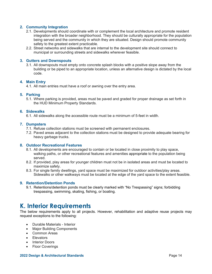## **2. Community Integration**

- 2.1. Developments should coordinate with or complement the local architecture and promote resident integration with the broader neighborhood. They should be culturally appropriate for the population being served and the community in which they are situated. Design should promote community safety to the greatest extent practicable.
- 2.2. Street networks and sidewalks that are internal to the development site should connect to municipal or surrounding streets and sidewalks wherever feasible.

## **3. Gutters and Downspouts**

3.1. All downspouts must empty onto concrete splash blocks with a positive slope away from the building or be piped to an appropriate location, unless an alternative design is dictated by the local code.

## **4. Main Entry**

4.1. All main entries must have a roof or awning over the entry area.

## **5. Parking**

5.1. Where parking is provided, areas must be paved and graded for proper drainage as set forth in the HUD Minimum Property Standards.

## **6. Sidewalks**

6.1. All sidewalks along the accessible route must be a minimum of 5-feet in width.

#### **7. Dumpsters**

- 7.1. Refuse collection stations must be screened with permanent enclosures.
- 7.2. Paved areas adjacent to the collection stations must be designed to provide adequate bearing for heavy garbage trucks.

#### **8. Outdoor Recreational Features**

- 8.1. All developments are encouraged to contain or be located in close proximity to play space, walking paths, or other recreational features and amenities appropriate to the population being served.
- 8.2. If provided, play areas for younger children must not be in isolated areas and must be located to maximize safety.
- 8.3. For single family dwellings, yard space must be maximized for outdoor activities/play areas. Sidewalks or other walkways must be located at the edge of the yard space to the extent feasible.

## **9. Retention/Detention Ponds**

9.1. Retentions/detention ponds must be clearly marked with "No Trespassing" signs; forbidding trespassing, swimming, skating, fishing, or boating.

# **K. Interior Requirements**

The below requirements apply to all projects. However, rehabilitation and adaptive reuse projects may request exceptions to the following:

- Durable Materials Interior
- Major Building Components
- Common Areas
- **•** Elevators
- Interior Doors
- Floor Coverings

#### **2022 Design & Architectural Standards** Page 14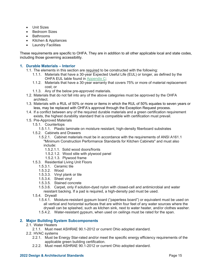- Unit Sizes
- Bedroom Sizes
- Bathrooms
- Kitchen & Appliances
- Laundry Facilities

These requirements are specific to OHFA. They are in addition to all other applicable local and state codes, including those governing accessibility.

## **1. Durable Materials – Interior**

- 1.1. The elements in this section are required to be constructed with the following:
	- 1.1.1. Materials that have a 30-year Expected Useful Life (EUL) or longer, as defined by the OHFA EUL table found in Appendix C;
	- 1.1.2. Materials that have a 30-year warranty that covers 75% or more of material replacement cost; or
	- 1.1.3. Any of the below pre-approved materials.
- 1.2. Materials that do not fall into any of the above categories must be approved by the OHFA architect.
- 1.3. Materials with a RUL of 50% or more or items in which the RUL of 50% equates to seven years or less, may be replaced with OHFA's approval through the Exception Request process.
- 1.4. If a conflict between any of the required durable materials and a green certification requirement exists, the highest durability standard that is compatible with certification must prevail.
- 1.5. Pre-Approved Materials
	- 1.5.1. Countertops
		- 1.5.1.1. Plastic laminate on moisture resistant, high-density fiberboard substrates
	- 1.5.2. Cabinets and Drawers
		- 1.5.2.1. Cabinet materials must be in accordance with the requirements of ANSI A161.1 "Minimum Construction Performance Standards for Kitchen Cabinets" and must also include:
			- 1.5.2.1.1. Solid wood doors/fronts
			- 1.5.2.1.2. Wood stile with plywood panel
			- 1.5.2.1.3. Plywood frame
	- 1.5.3. Residential Living Unit Floors
		- 1.5.3.1. Ceramic tile
		- 1.5.3.2. Wood
		- 1.5.3.3. Vinyl plank or tile
		- 1.5.3.4. Sheet vinyl
		- 1.5.3.5. Stained concrete
		- 1.5.3.6. Carpet, only if solution-dyed nylon with closed-cell and antimicrobial and water resistant backing. If a pad is required, a high-density pad must be used.
	- 1.5.4. Drywall
		- 1.5.4.1. Moisture-resistant gypsum board ("paperless board") or equivalent must be used on all vertical and horizontal surfaces that are within four feet of any water sources where the drywall can be splashed, such as kitchen sink, next to water heater, and/or clothes washer.
		- 1.5.4.2. Water-resistant gypsum, when used on ceilings must be rated for the span.

## **2. Major Building System Subcomponents**

- 2.1. Water Heaters
	- 2.1.1. Must meet ASHRAE 90.1-2012 or current Ohio adopted standard.
- 2.2. HVAC systems
	- 2.2.1. Must be Energy Star-rated and/or meet the specific energy efficiency requirements of the applicable green building certification.
	- 2.2.2. Must meet ASHRAE 90.1-2012 or current Ohio adopted standard.

#### **2022 Design & Architectural Standards** Page 15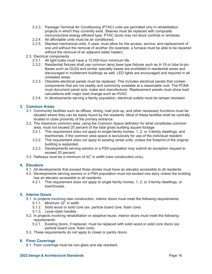- 2.2.3. Package Terminal Air Conditioning (PTAC) units are permitted only in rehabilitation projects in which they currently exist. Sleeves must be replaced with composite nonconductive energy efficient type. PTAC ducts may not block controls or windows.
- 2.2.4. All affordable units must be air conditioned.
- 2.2.5. Stacked mechanical units, if used, must allow for the access, service, and replacement of one unit without the removal of another (for example, a furnace must be able to be repaired without the removal of an adjacent water heater).
- 2.3. Electrical components
	- 2.3.1. All light bulbs must have a 10,000-hour minimum life.
	- 2.3.2. Residential fixtures shall use common lamp base type fixtures such as A-19 or tube bi-pin. Bases such as GU24 and similar specialty bases are prohibited in residential areas and discouraged in multitenant buildings as well. LED lights are encouraged and required in all unheated areas.
	- 2.3.3. Obsolete electrical panels must be replaced. This includes electrical panels that contain components that are not readily and commonly available at a reasonable cost. The PCNA must document panel size, make and manufacturer. Replacement panels must show load calculations with major load change such as HVAC.
	- 2.3.4. In developments serving a family population, electrical outlets must be tamper resistant.

# **3. Common Areas**

- 3.1. Community facilities such as offices, dining, mail pick-up, and other necessary functions must be situated where they can be easily found by the residents. Most of these facilities shall be centrally located in close proximity of the primary entrance.
- 3.2. The maximum common area, using the Common Space definition for what constitutes common area, must not exceed 20 percent of the total gross building square footage.
	- 3.2.1. This requirement *does not apply* to single-family homes, 1, 2, or 3-family dwellings, and townhomes, if the common area space is exclusively for use of the individual resident.
	- 3.2.2. This requirement *does not apply* to existing rental units, unless the footprint of the original building is expanded.
	- 3.2.3. Developments serving seniors or a PSH population may submit an exception request to exceed 20 percent.
- 3.3. Hallways must be a minimum of 42" in width (new construction only).

# **4. Elevators**

- 4.1. All developments that exceed three stories must have an elevator accessible to all residents.
- 4.2. Developments serving seniors or a PSH population must not exceed one story unless the building has an elevator accessible to all residents.
	- 4.2.1. This requirement *does not apply* to single family homes, 1, 2, or 3-family dwellings, or townhouses.

## **5. Interior Doors**

- 5.1. In projects involving new construction, interior doors must meet the following requirements:
	- 5.1.1. Minimum 32" in width
	- 5.1.2. Solid wood or solid core (ex: particle board core, foam core)
	- 5.1.3. Lever-style handles
- 5.2. In projects involving rehabilitation or adaptive reuse, interior doors must meet the following requirements:
	- 5.2.1. Existing doors, if replaced, must be replaced with solid wood or solid core doors (ex: particle board core, foam core).
- 5.3. These requirements *do not apply* to closet or pantry doors.

## **6. Floor Coverings**

6.1. Floor coverings must be non-glare and slip resistant.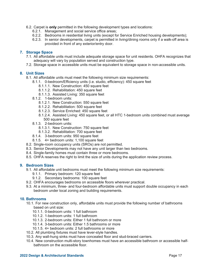- 6.2. Carpet is **only** permitted in the following development types and locations:
	- 6.2.1. Management and social service office areas;
	- 6.2.2. Bedrooms in residential living units (except for Service Enriched housing developments);
	- 6.2.3. In senior developments, carpet is permitted in living/dining rooms only if a walk-off area is provided in front of any exterior/entry door.

## **7. Storage Space**

- 7.1. All affordable units must include adequate storage space for unit residents. OHFA recognizes that adequacy will vary by population served and construction type.
- 7.2. Storage space in accessible units must be equivalent to storage space in non-accessible units.

## **8. Unit Sizes**

8.1. All affordable units must meet the following minimum size requirements:

- 8.1.1. 0-bedroom/Efficiency units (i.e. studio, efficiency): 450 square feet
	- 8.1.1.1. New Construction: 450 square feet
	- 8.1.1.2. Rehabilitation: 450 square feet
	- 8.1.1.3. Assisted Living: 350 square feet
- 8.1.2. 1-bedroom units:
	- 8.1.2.1. New Construction: 550 square feet
	- 8.1.2.2. Rehabilitation: 500 square feet
	- 8.1.2.3. Service Enriched: 450 square feet
	- 8.1.2.4. Assisted Living: 450 square feet, or all HTC 1-bedroom units combined must average 500 square feet
- 8.1.3. 2-bedroom units:
	- 8.1.3.1. New Construction: 750 square feet
	- 8.1.3.2. Rehabilitation: 700 square feet
- 8.1.4. 3-bedroom units: 950 square feet
- 8.1.5. 4+ bedroom units: 1,100 square feet
- 8.2. Single-room occupancy units (SROs) are not permitted.
- 8.3. Senior Developments may not have any unit larger than two bedrooms.
- 8.4. Single-family homes must contain three or more bedrooms.
- 8.5. OHFA reserves the right to limit the size of units during the application review process.

## **9. Bedroom Sizes**

- 9.1. All affordable unit bedrooms must meet the following minimum size requirements:
	- 9.1.1. Primary bedroom: 120 square feet
	- 9.1.2. Secondary bedrooms: 100 square feet
- 9.2. OHFA encourages bedrooms on accessible floors wherever practical.
- 9.3. At a minimum, three- and four-bedroom affordable units must support double occupancy in each bedroom under local zoning and building requirements.

## **10. Bathrooms**

- 10.1. For new construction only, affordable units must provide the following number of bathrooms based on unit size:
	- 10.1.1. 0-bedroom units: 1 full bathroom
	- 10.1.2. 1-bedroom units: 1 full bathroom
	- 10.1.3. 2-bedroom units: Either 1 full bathroom or more
	- 10.1.4. 3-bedroom units: Either 1.5 bathrooms or more
	- 10.1.5. 4+ bedroom units: 2 full bathrooms or more
- 10.2. All plumbing fixtures must have lever-style handles.
- 10.3. Any wall-hung sinks must have concealed floor and stud-braced carriers.
- 10.4. New construction multi-story townhomes must have an accessible bathroom or accessible halfbathroom on the accessible floor.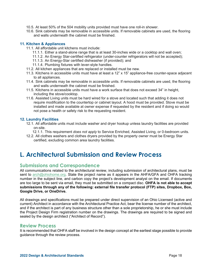- 10.5. At least 50% of the 504 mobility units provided must have one roll-in shower.
- 10.6. Sink cabinets may be removable in accessible units. If removable cabinets are used, the flooring and walls underneath the cabinet must be finished.

## **11. Kitchen & Appliances**

- 11.1. All affordable unit kitchens must include:
	- 11.1.1. Either a stand-alone range that is at least 30-inches wide or a cooktop and wall oven;
	- 11.1.2. An Energy Star-certified refrigerator (under-counter refrigerators will not be accepted);
	- 11.1.3. An Energy-Star certified dishwasher (if provided); and
	- 11.1.4. Plumbing fixtures with lever-style handles.
- 11.2. All kitchen appliances that are replaced or installed must be new.
- 11.3. Kitchens in accessible units must have at least a 12" x 15" appliance-free counter-space adjacent to all appliances.
- 11.4. Sink cabinets may be removable in accessible units. If removable cabinets are used, the flooring and walls underneath the cabinet must be finished.
- 11.5. Kitchens in accessible units must have a work surface that does not exceed 34" in height, including the stove/cooktop.
- 11.6. Assisted Living units must be hard wired for a stove and located such that adding it does not require modification to the countertop or cabinet layout. A hood must be provided. Stove must be installed and made available at owner expense if requested by the resident and if doing so would not pose a health or safety risk to the requesting resident.

## **12. Laundry Facilities**

- 12.1. All affordable units must include washer and dryer hookup unless laundry facilities are provided on-site.
	- 12.1.1. This requirement *does not apply* to Service Enriched, Assisted Living, or 0-bedroom units.
- 12.2. All clothes washers and clothes dryers provided by the property owner must be Energy Star certified, excluding common area laundry facilities.

# **L. Architectural Submission and Review Process**

# **Submissions and Correspondence**

All communications related to the architectural review, including submission of architectural plans, must be sent to arch@ohiohome.org. State the project name as it appears in the AHFA/GFA and OHFA tracking number in the subject line, and carbon copy the project's development analyst on the email. If documents are too large to be sent via email, they must be submitted on a compact disc. **OHFA is not able to accept submissions through any of the following: external file transfer protocol (FTP) sites, Dropbox, Box, Google Drive, or OneDrive.** 

All drawings and specifications must be prepared under direct supervision of an Ohio Licensed (active and current) Architect in accordance with the Architectural Practice Act, bear the license number of the architect, and if the architect is part of any business structure other than a sole proprietorship, he or she must include the Project Design Firm registration number on the drawings. The drawings are required to be signed and sealed by the design architect ("Architect of Record").

# **Review Process**

It is recommended that OHFA staff be involved in the design concept at the earliest stage possible to provide guidance through the review process.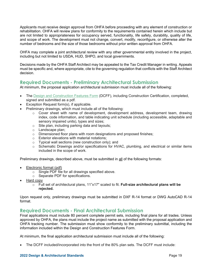Applicants must receive design approval from OHFA before proceeding with any element of construction or rehabilitation. OHFA will review plans for conformity to the requirements contained herein which include but are not limited to appropriateness for occupancy served, functionality, life safety, durability, quality of life, and scope of work. The development must not change, convert, modify, reconfigure, or otherwise alter the number of bedrooms and the size of those bedrooms without prior written approval from OHFA.

OHFA may complete a joint architectural review with any other governmental entity involved in the project, including but not limited to USDA, HUD, SHPO, and local governments.

Decisions made by the OHFA Staff Architect may be appealed to the Tax Credit Manager in writing. Appeals must be specific and, where appropriate, cite to the governing regulation that conflicts with the Staff Architect decision.

# **Required Documents - Preliminary Architectural Submission**

At minimum, the proposal application architectural submission must include all of the following:

- The Design and Construction Features Form (DCFF), including Construction Certification, completed, signed and submitted as a pdf.
- Exception Request form(s), if applicable.
- Preliminary drawings, which must include all of the following:
	- $\circ$  Cover sheet with name of development, development address, development team, drawing index, code information, and table indicating unit schedule (including accessible, adaptable and sensory impaired units), types and sizes;
	- o Site plan, including parking data and layouts;
	- o Landscape plan;
	- o Dimensioned floor plans with room designations and proposed finishes;
	- o Exterior elevations with material notations;
	- o Typical wall sections (new construction only); and
	- o Schematic Drawings and/or specifications for HVAC, plumbing, and electrical or similar items included in the scope of work.

Preliminary drawings, described above, must be submitted in all of the following formats:

- Electronic format (pdf)
	- o Single PDF file for all drawings specified above.
	- o Separate PDF for specifications.
- Hard copy
	- o Full set of architectural plans, 11"x17" scaled to fit. **Full-size architectural plans will be rejected.**

Upon request only, preliminary drawings must be submitted in DXF R-14 format or DWG AutoCAD R-14 format.

# **Required Documents - Final Architectural Submission**

Final applications must include 80 percent complete permit sets, including final plans for all trades. Unless approved by OHFA, the plans must include the project name as submitted with the proposal application and OHFA tracking number. The submission must show conformity to the preliminary submittal, including the information included within the Design and Construction Features Form.

At minimum, the final application architectural submission must include all of the following:

The DCFF included/incorporated into the front of the 80% plan sets. The DCFF must include: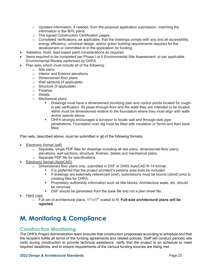- $\circ$  Updated information, if needed, from the proposal application submission, matching the information in the 80% plans;
- o The signed Construction Certification pages;
- $\circ$  Completed verifications, as applicable, that the drawings comply with any and all accessibility, energy efficiency, universal design, and/or green building requirements required for the development or committed to in the application for funding.
- Asbestos, mold, lead-based paint considerations as required.
- Items required to be completed per Phase I or II Environmental Site Assessment, or per applicable Environmental Review performed by OHFA.
- Plan sets, which must include all of the following:
	- o Site plans
	- o Interior and Exterior elevations
	- o Dimensioned floor plans
	- o Wall sections (if applicable)
	- o Structure (if applicable)
	- o Finishes
	- o Details
	- o Mechanical plans
		- Drawings must have a dimensioned plumbing plan and control points located for roughin site verification. All pipes-through-floor and the walls they are intended to be located within must be dimensioned relative to the foundation where they must align with walls and/or islands above.
		- **OHFA strongly encourages a surveyor to locate wall and through-slab pipe** penetrations. Foundation over dig must be filled with insulation or forms and then back filled.

Plan sets, described above, must be submitted in all of the following formats:

- Electronic format (pdf)
	- $\circ$  Separate, single PDF files for drawings including all site plans, dimensioned floor plans, elevations, wall sections, structure, finishes, details and mechanical plans.
	- o Separate PDF file for specifications.
- Electronic format (AutoCAD)
	- o Dimensioned floor plans only, submitted in DXF or DWG AutoCAD R-14 format.
		- It is preferred that the project architect's polyline area lines be included.
		- If drawings are externally referenced (xref), submissions must be bound (xbind) prior to creating files for OHFA.
		- Proprietary authorship information such as title blocks, Architecture seals, etc. should be removed.
		- **DXF** should be generated from the base file and not a plan sheet file.
- Hard copy
	- o Full set of architectural plans, 11"x17" scaled to fit. **Full-size architectural plans will be rejected.**

# **M. Monitoring & Compliance**

# **Construction Monitoring**

The OHFA Project Administration team ensures that construction progresses according to schedule and that the recipient fulfills all terms of the funding agreements and related policies. Staff will conduct periodic site visits during construction to provide technical assistance, verify that the project is on schedule to meet required deadlines, and to ensure requirements of the various funding sources are being met.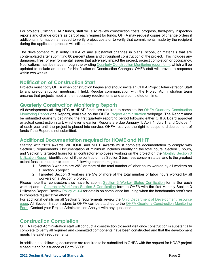For projects utilizing HDAP funds, staff will also review construction costs, progress, third-party inspection reports and change orders as part of each request for funds. OHFA may request copies of change orders if additional information is needed to verify project costs or to verify that commitments made by the recipient during the application process will still be met.

The development must notify OHFA of any substantial changes in plans, scope, or materials that are contemplated after submitting 80 percent plans and throughout construction of the project. This includes any damages, fires, or environmental issues that adversely impact the project, project completion or occupancy. Notifications must be made through the existing Quarterly Construction Monitoring report form, which will be updated to include an option for Notification of Construction Changes. OHFA staff will provide a response within two weeks.

# **Notification of Construction Start**

Projects must notify OHFA when construction begins and should invite an OHFA Project Administration Staff to any pre-construction meetings, if held. Regular communication with the Project Administration team ensures that projects meet all the necessary requirements and are completed on time.

# **Quarterly Construction Monitoring Reports**

All developments utilizing HTC or HDAP funds are required to complete the OHFA Quarterly Construction Monitoring Report (the Report), available on the OHFA Project Administration webpage. The Report must be submitted quarterly beginning the first quarterly reporting period following either OHFA Board approval or actual construction start, whichever is earlier. Reports are due January 1, April 1, July 1, and October 1 of each year until the project is placed into service. OHFA reserves the right to suspend disbursement of funds if the Report is not submitted.

# **Additional Documentation required for HOME and NHTF**

Starting with 2021 awards, all HOME and NHTF awards must complete documentation to comply with Section 3 requirements. Documentation at minimum includes identifying the total hours, Section 3 hours, and Section 3 targeted hours for all contractor employees working on the project on the Monthly Section 3 Utilization Report, identification of if the contractor has Section 3 business concern status, and to the greatest extent feasible meet or exceed the following benchmark goals.

- 1. Section 3 workers are 25% or more of the total number of labor hours worked by all workers on a Section 3 project.
- 2. Targeted Section 3 workers are 5% or more of the total number of labor hours worked by all workers on a Section 3 project

Please note that contractors also have to submit Section 3 Worker Status Certification forms (for each worker) and a Contractor Workforce Section 3 Certification form to OHFA with the first Monthly Section 3 Utilization Report. Review Policy 21-04 for details on compliance including when the benchmarks aren't met to complete "Qualitative efforts".

For additional details on all Section 3 requirements review the Ohio Department of Development resource page. All Section 3 submissions to OHFA can be attached to the OHFA Quarterly Construction Monitoring Form. Contact your Project Administration Analyst with any questions.

# **Construction Completion**

OHFA Project Administration staff will conduct a construction closeout visit once construction is substantially complete to verify all required and committed components have been constructed and that the development meets life safety requirements.

In addition, the following documents are required to be submitted to OHFA with the request for HDAP project closeout and/or issuance of Form 8609: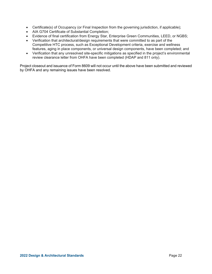- Certificate(s) of Occupancy (or Final Inspection from the governing jurisdiction, if applicable);
- AIA G704 Certificate of Substantial Completion;
- Evidence of final certification from Energy Star, Enterprise Green Communities, LEED, or NGBS;
- Verification that architectural/design requirements that were committed to as part of the Competitive HTC process, such as Exceptional Development criteria, exercise and wellness features, aging in place components, or universal design components, have been completed; and
- Verification that any unresolved site-specific mitigations as specified in the project's environmental review clearance letter from OHFA have been completed (HDAP and 811 only).

Project closeout and issuance of Form 8609 will not occur until the above have been submitted and reviewed by OHFA and any remaining issues have been resolved.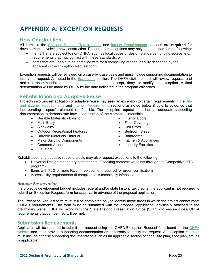# **APPENDIX A: EXCEPTION REQUESTS**

# **New Construction**

All items in the Site and Exterior Requirements and Interior Requirements sections are **required** for developments involving new construction. Requests for exceptions may only be submitted for the following:

- Items that are subject to non-OHFA (such as local codes or design standards, funding source, etc.) requirements that may conflict with these Standards; or
- Items that are unable to be complied with for a compelling reason, as fully described by the applicant in the Exception Request form.

Exception requests will be reviewed on a case-by-case basis and must include supporting documentation to justify the request. As noted in the Exceptions section, The OHFA staff architect will review requests and make a recommendation to the management team to accept, deny, or modify the exception. A final determination will be made by OHFA by the date indicated in the program calendars.

# **Rehabilitation and Adaptive Reuse**

Projects involving rehabilitation or adaptive reuse may seek an exception to certain requirements in the Site and Exterior Requirements and Interior Requirements sections as noted below if able to evidence that incorporating a specific element is infeasible. The exception request must include adequate supporting documentation to demonstrate how incorporation of the element is infeasible.

> Interior Doors • Floor Coverings Unit Sizes • Bedroom Sizes Bathrooms

• Laundry Facilities

Kitchen & Appliances

- Durable Materials Exterior
- Main Entry
- Sidewalks
- Outdoor Recreational Features
- Durable Materials Interior
- Major Building Components
- Common Areas
- **•** Elevators

Rehabilitation and adaptive reuse projects may also request exceptions to the following:

- Universal Design mandatory components (if seeking competitive points through the Competitive HTC program)
- Items with 75% or more RUL (if replacement required for green certification)
- Accessibility requirements (if compliance is technically infeasible)

## *Historic Preservation*

If a project's development budget includes federal and/or state historic tax credits, the applicant is not required to submit an Exception Request form for approval in advance of the proposal application.

The Exception Request form must still be completed only to identify those areas in which the project cannot meet OHFA's requirements. The form must be submitted with the proposal application, physically attached to the preliminary plans. OHFA will work with the State Historic Preservation Office (SHPO) to ensure those OHFA requirements that can be met, will be met.

# **Submission Requirements**

Applicants will be required to submit the request using the OHFA Exception Request form found on the OHFA website and must provide supporting documentation as necessary to justify the request. All exception requests must include concise supporting documentation such as an applicable section of code, site plan, floor plan, etc. as is applicable.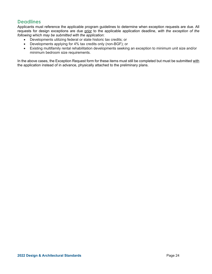# **Deadlines**

Applicants must reference the applicable program guidelines to determine when exception requests are due. All requests for design exceptions are due prior to the applicable application deadline, *with the exception of the following which may be submitted with the application*:

- Developments utilizing federal or state historic tax credits; or
- Developments applying for 4% tax credits only (non-BGF); or
- Existing multifamily rental rehabilitation developments seeking an exception to minimum unit size and/or minimum bedroom size requirements.

In the above cases, the Exception Request form for these items must still be completed but must be submitted with the application instead of in advance, physically attached to the preliminary plans.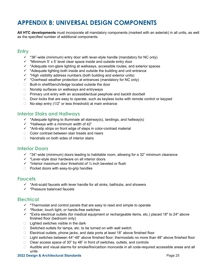# **APPENDIX B: UNIVERSAL DESIGN COMPONENTS**

**All HTC developments** must incorporate all mandatory components (marked with an asterisk) in all units, as well as the specified number of additional components.

# **Entry**

- $\checkmark$  \*36"-wide (minimum) entry door with lever-style handle (mandatory for NC only)
- $\checkmark$  \*Minimum 5' x 5' level clear space inside and outside entry door
- $\checkmark$  \*Adequate non-glare lighting at walkways, accessible routes, and exterior spaces
- $\checkmark$  \*Adequate lighting both inside and outside the building and unit entrance
- $\checkmark$  \*High visibility address numbers (both building and exterior units)
- $\checkmark$  \*Overhead weather protection at entrances (mandatory for NC only)
- $\Box$  Built-in shelf/bench/ledge located outside the door
- □ Nonslip surfaces on walkways and entryways
- $\Box$  Primary unit entry with an accessible/dual peephole and backlit doorbell
- Door locks that are easy to operate, such as keyless locks with remote control or keypad
- $\Box$  No-step entry (1/2" or less threshold) at main entrance

# **Interior Stairs and Hallways**

- $\checkmark$  \*Adequate lighting to illuminate all stairway(s), landings, and hallway(s)
- $\checkmark$  \*Hallways with a minimum width of 42"
- $\checkmark$  \*Anti-slip strips on front edge of steps in color-contrast material
- $\Box$  Color contrast between stair treads and risers
- $\Box$  Handrails on both sides of interior stairs

# **Interior Doors**

- $\checkmark$  \*34"-wide (minimum) doors leading to habitable room, allowing for a 32" minimum clearance
- $\checkmark$  \*Lever-style door hardware on all interior doors
- $\checkmark$  \*Interior maximum door threshold of  $\frac{1}{4}$  inch beveled or flush
- $\Box$  Pocket doors with easy-to-grip handles

# **Faucets**

- $\checkmark$  \*Anti-scald faucets with lever handle for all sinks, bathtubs, and showers
- $\checkmark$  \*Pressure balanced faucets

# **Electrical**

- $\checkmark$  \*Thermostat and control panels that are easy to read and simple to operate
- $\checkmark$  \*Rocker, touch light, or hands-free switches
- $\checkmark$  \*Extra electrical outlets (for medical equipment or rechargeable items, etc.) placed 18" to 24" above finished floor (bedroom only)
- $\Box$  Lighted switches visible in the dark
- $\Box$  Switched outlets for lamps, etc. to be turned on with wall switch
- $\Box$  Electrical outlets, phone jacks, and data ports at least 18" above finished floor
- □ Light switches between 44"-48" above finished floor; thermostats no more than 48" above finished floor
- $\Box$  Clear access space of 30" by 48" in front of switches, outlets, and controls
- □ Audible and visual alarms for smoke/fire/carbon monoxide in all code-required accessible areas and all units

## **2022 Design & Architectural Standards** Page 25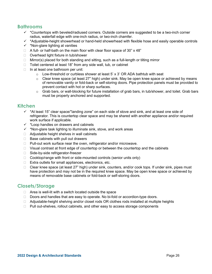# **Bathrooms**

- $\checkmark$  \*Countertops with beveled/radiused corners. Outside corners are suggested to be a two-inch corner radius, waterfall edge with one-inch radius, or two-inch chamfer.
- $\checkmark$  \*Adjustable-height showerhead or hand-held showerhead with flexible hose and easily operable controls
- $\checkmark$  \*Non-glare lighting at vanities
- $\Box$  A full- or half-bath on the main floor with clear floor space of 30" x 48"
- □ Overhead light fixture in tub/shower
- $\Box$  Mirror(s) placed for both standing and sitting, such as a full-length or tilting mirror
- □ Toilet centered at least 18" from any side wall, tub, or cabinet
- $\Box$  In at least one bathroom per unit:
	- $\circ$  Low-threshold or curbless shower at least 5' x 3' OR ADA bathtub with seat
	- o Clear knee space (at least 27" high) under sink. May be open knee space or achieved by means of removable vanity or fold-back or self-storing doors. Pipe protection panels must be provided to prevent contact with hot or sharp surfaces.
	- $\circ$  Grab bars, or wall-blocking for future installation of grab bars, in tub/shower, and toilet. Grab bars must be properly anchored and supported.

# **Kitchen**

- $\checkmark$  \*At least 15" clear space/"landing zone" on each side of stove and sink, and at least one side of refrigerator. This is countertop clear space and may be shared with another appliance and/or required work surface if applicable.
- $\checkmark$  \*Loop handles on drawers and cabinets
- $\checkmark$  \*Non-glare task lighting to illuminate sink, stove, and work areas
- $\Box$  Adjustable height shelves in wall cabinets
- $\Box$  Base cabinets with pull out drawers
- $\Box$  Pull-out work surface near the oven, refrigerator and/or microwave.
- $\Box$  Visual contrast at front edge of countertop or between the countertop and the cabinets
- □ Side-by-side refrigerator-freezer
- $\Box$  Cooktop/range with front or side-mounted controls (senior units only)
- $\Box$  Extra outlets for small appliances, electronics, etc.
- □ Clear knee space (at least 27" high) under sink, counters, and/or cook tops. If under sink, pipes must have protection and may not be in the required knee space. May be open knee space or achieved by means of removable base cabinets or fold-back or self-storing doors.

# **Closets/Storage**

- $\Box$  Area is well-lit with a switch located outside the space
- $\Box$  Doors and handles that are easy to operate. No bi-fold or accordion-type doors.
- $\Box$  Adjustable-height shelving and/or closet rods OR clothes rods installed at multiple heights
- $\Box$  Pull out-shelves, rollout cabinets, and other easy to access storage components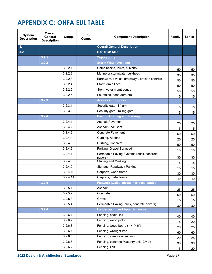# **APPENDIX C: OHFA EUL TABLE**

| <b>System</b><br><b>Description</b> | Overall<br>General<br><b>Description</b> | Comp.    | Sub-<br>Comp. | <b>Component Description</b>                         | Family | <b>Senior</b>  |
|-------------------------------------|------------------------------------------|----------|---------------|------------------------------------------------------|--------|----------------|
| 3.1                                 |                                          |          |               | <b>Overall General Description</b>                   |        |                |
| 3.2                                 |                                          |          |               | <b>SYSTEM: SITE</b>                                  |        |                |
|                                     | 3.2.1                                    |          |               | <b>Topography</b>                                    |        |                |
|                                     | 3.2.2                                    |          |               | <b>Storm Water Drainage</b>                          |        |                |
|                                     |                                          | 3.2.2.1  |               | Catch basins, inlets, culverts                       | 50     | 50             |
|                                     |                                          | 3.2.2.2  |               | Marine or stormwater bulkhead                        | 35     | 35             |
|                                     |                                          | 3.2.2.3  |               | Earthwork, swales, drainways, erosion controls       | 50     | 50             |
|                                     |                                          | 3.2.2.4  |               | Storm drain lines                                    | 50     | 50             |
|                                     |                                          | 3.2.2.5  |               | Stormwater mgmt ponds                                | 50     | 50             |
|                                     |                                          | 3.2.2.6  |               | Fountains, pond aerators                             | 15     | 15             |
|                                     | 3.2.3                                    |          |               | <b>Access and Egress</b>                             |        |                |
|                                     |                                          | 3.2.3.1  |               | Security gate - lift arm                             | 10     | 10             |
|                                     |                                          | 3.2.3.2  |               | Security gate - rolling gate                         | 15     | 15             |
|                                     | 3.2.4                                    |          |               | <b>Paving, Curbing and Parking</b>                   |        |                |
|                                     |                                          | 3.2.4.1  |               | <b>Asphalt Pavement</b>                              | 25     | 25             |
|                                     |                                          | 3.2.4.2  |               | <b>Asphalt Seal Coat</b>                             | 5      | $\overline{5}$ |
|                                     |                                          | 3.2.4.3  |               | <b>Concrete Pavement</b>                             | 50     | 50             |
|                                     |                                          | 3.2.4.4  |               | Curbing, Asphalt                                     | 25     | 25             |
|                                     |                                          | 3.2.4.5  |               | Curbing, Concrete                                    | 50     | 50             |
|                                     |                                          | 3.2.4.6  |               | Parking, Gravel Surfaced                             | 15     | 15             |
|                                     |                                          | 3.2.4.7  |               | Permeable Paving Systems (brick, concrete<br>pavers) | 30     | 30             |
|                                     |                                          | 3.2.4.8  |               | <b>Striping and Marking</b>                          | 15     | 15             |
|                                     |                                          | 3.2.4.9  |               | Signage, Roadway / Parking                           | 15     | 15             |
|                                     |                                          | 3.2.4.10 |               | Carports, wood frame                                 | 30     | 30             |
|                                     |                                          | 3.2.4.11 |               | Carports, metal frame                                | 40     | 40             |
|                                     | 3.2.5                                    |          |               | Flatwork (walks, plazas, terraces, patios)           |        |                |
|                                     |                                          | 3.2.5.1  |               | Asphalt                                              | 25     | 25             |
|                                     |                                          | 3.2.5.2  |               | Concrete                                             | 50     | 50             |
|                                     |                                          | 3.2.5.3  |               | Gravel                                               | 15     | 15             |
|                                     |                                          | 3.2.5.4  |               | Permeable Paving (brick, concrete pavers)            | 30     | 30             |
|                                     | 3.2.6                                    |          |               | <b>Landscaping and Appurtenances</b>                 |        |                |
|                                     |                                          | 3.2.6.1  |               | Fencing, chain-link                                  | 40     | 40             |
|                                     |                                          | 3.2.6.2  |               | Fencing, wood picket                                 | 15     | 20             |
|                                     |                                          | 3.2.6.3  |               | Fencing, wood board (=>1"x 6")                       | 20     | 25             |
|                                     |                                          | 3.2.6.4  |               | Fencing, wrought Iron                                | 60     | 60             |
|                                     |                                          | 3.2.6.5  |               | Fencing, steel or aluminum                           | 20     | 25             |
|                                     |                                          | 3.2.6.6  |               | Fencing, concrete Masonry unit (CMU)                 | 30     | 30             |
|                                     |                                          | 3.2.6.7  |               | Fencing, PVC                                         | 15     | 20             |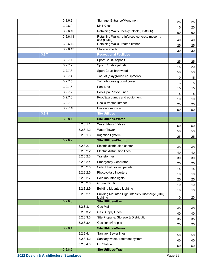|                                       | 3.2.6.8  |            | Signage, Entrance/Monument                                  | 25      | 25              |
|---------------------------------------|----------|------------|-------------------------------------------------------------|---------|-----------------|
|                                       | 3.2.6.9  |            | <b>Mail Kiosk</b>                                           | 15      | 20              |
|                                       | 3.2.6.10 |            | Retaining Walls, heavy block (50-80 lb)                     | 60      | 60              |
|                                       | 3.2.6.11 |            | Retaining Walls, re-inforced concrete masonry<br>unit (CMU) | 40      | 40              |
|                                       | 3.2.6.12 |            | Retaining Walls, treated timber                             | 25      | 25              |
|                                       | 3.2.6.13 |            | Storage sheds                                               | 30      | 30              |
| 3.2.7                                 |          |            | <b>Recreational Facilities</b>                              |         |                 |
|                                       | 3.2.7.1  |            | Sport Court- asphalt                                        | 25      | 25              |
|                                       | 3.2.7.2  |            | Sport Court- synthetic                                      | 15      | 20              |
|                                       | 3.2.7.3  |            | Sport Court-hardwood                                        | 50      | 50              |
|                                       | 3.2.7.4  |            | Tot Lot (playground equipment)                              | 10      | 15              |
|                                       | 3.2.7.5  |            | Tot Lot- loose ground cover                                 | 3       | 5               |
|                                       | 3.2.7.6  |            | Pool Deck                                                   | 15      | 15              |
|                                       | 3.2.7.7  |            | Pool/Spa Plastic Liner                                      | 8       | 8               |
|                                       | 3.2.7.8  |            | Pool/Spa pumps and equipment                                | 10      | 10              |
|                                       | 3.2.7.9  |            | Decks-treated lumber                                        | 20      | 20              |
|                                       | 3.2.7.10 |            | Decks-composite                                             | 50      | 50              |
| 3.2.8                                 |          |            | <b>Site Utilities</b>                                       |         |                 |
|                                       | 3.2.8.1  |            | <b>Site Utilities-Water</b>                                 |         |                 |
|                                       |          | 3.2.8.1.1  | <b>Water Mains/Valves</b>                                   | 50      | 50              |
|                                       |          | 3.2.8.1.2  | <b>Water Tower</b>                                          | 50      | 50              |
|                                       |          | 3.2.8.1.3  | <b>Irrigation System</b>                                    |         | 25              |
|                                       |          |            |                                                             | 25      |                 |
|                                       | 3.2.8.2  |            | <b>Site Utilities-Electric</b>                              |         |                 |
|                                       |          | 3.2.8.2.1  | Electric distribution center                                | 40      | 40              |
|                                       |          | 3.2.8.2.2  | Electric distribution lines                                 | 40      | 40              |
|                                       |          | 3.2.8.2.3  | Transformer                                                 | 30      | 30              |
|                                       |          | 3.2.8.2.4  | <b>Emergency Generator</b>                                  | 25      | 25              |
|                                       |          | 3.2.8.2.5  | Solar Photovoltaic panels                                   | 15      | 15              |
|                                       |          | 3.2.8.2.6  | Photovoltaic Inverters                                      | 10      | 10 <sub>1</sub> |
|                                       |          | 3.2.8.2.7  | Pole mounted lights                                         | 25      | 25              |
|                                       |          | 3.2.8.2.8  | <b>Ground lighting</b>                                      | 10      | 10              |
|                                       |          | 3.2.8.2.9  | <b>Building Mounted Lighting</b>                            | 10      | 10 <sup>°</sup> |
|                                       |          | 3.2.8.2.10 | Building Mounted High Intensity Discharge (HID)<br>Lighting | 10      | 20              |
|                                       | 3.2.8.3  |            | <b>Site Utilities-Gas</b>                                   |         |                 |
|                                       |          | 3.2.8.3.1  | Gas Main                                                    | 40      | 40              |
|                                       |          | 3.2.8.3.2  | <b>Gas Supply Lines</b>                                     | 40      | 40              |
|                                       |          | 3.2.8.3.3  | Site Propane, Storage & Distribution                        | 35      | 35              |
|                                       |          | 3.2.8.3.4  | Gas lights/fire pits                                        | 20      | 20              |
|                                       | 3.2.8.4  |            | <b>Site Utilities-Sewer</b>                                 |         |                 |
|                                       |          | 3.2.8.4.1  | Sanitary Sewer lines                                        | 50      | 50              |
|                                       |          | 3.2.8.4.2  | Sanitary waste treatment system                             | 40      | 40              |
|                                       |          | 3.2.8.4.3  | <b>Lift Station</b>                                         | 50      | 50              |
| 2022 Design & Architectural Standards | 3.2.8.5  |            | <b>Site Utilities-Trash</b>                                 | Page 28 |                 |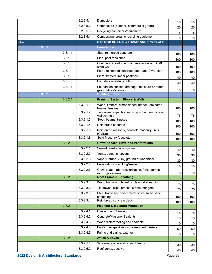|     |       |         | 3.2.8.5.1 | Dumpsters                                                              | 15              | 15              |
|-----|-------|---------|-----------|------------------------------------------------------------------------|-----------------|-----------------|
|     |       |         | 3.2.8.5.2 | Compactors (exterior, commercial grade)                                | 20              | 20              |
|     |       |         | 3.2.8.5.3 | Recycling containers/equipment                                         | 15              | 15              |
|     |       |         | 3.2.8.5.4 | Composting, organic recycling equipment                                | 10              | 10 <sup>°</sup> |
| 3.3 |       |         |           | <b>SYSTEM: BUILDING FRAME AND ENVELOPE</b>                             |                 |                 |
|     | 3.3.1 |         |           | <b>Foundation</b>                                                      |                 |                 |
|     |       | 3.3.1.1 |           | Slab, reinforced concrete                                              | 100             | 100             |
|     |       | 3.3.1.2 |           | Slab, post tensioned                                                   | 100             | 100             |
|     |       | 3.3.1.3 |           | Continuous reinforced concrete footer and CMU<br>stem wall             | 100             | 100             |
|     |       | 3.3.1.4 |           | Piers, reinforced concrete footer and CMU pier                         | 100             | 100             |
|     |       | 3.3.1.5 |           | Piers, treated timber post/pole                                        | 40              | 40              |
|     |       | 3.3.1.6 |           | <b>Foundation Waterproofing</b>                                        | 40              | 40              |
|     |       | 3.3.1.7 |           | Foundation suction, drainage, moisture or radon<br>gas controls/alarms | 10              | 10              |
|     | 3.3.2 |         |           | <b>Building Frame</b>                                                  |                 |                 |
|     |       | 3.3.2.1 |           | <b>Framing System, Floors &amp; Walls</b>                              |                 |                 |
|     |       |         | 3.3.2.1.1 | Wood, timbers, dimensioned lumber, laminated<br>beams, trusses         | 100             | 100             |
|     |       |         | 3.3.2.1.2 | Tie downs, clips, braces, straps, hangers, shear<br>walls/panels       | 75              | 75              |
|     |       |         | 3.3.2.1.3 | Steel, beams, trusses                                                  | 100             | 100             |
|     |       |         | 3.3.2.1.4 | Reinforced concrete                                                    | 100             | 100             |
|     |       |         | 3.3.2.1.5 | Reinforced masonry, concrete masonry units<br>(CMUs)                   | 100             | 100             |
|     |       |         | 3.3.2.1.6 | Solid Masonry (obsolete)                                               | 100             | 100             |
|     |       | 3.3.2.2 |           | <b>Crawl Spaces, Envelope Penetrations</b>                             |                 |                 |
|     |       |         | 3.3.2.2.1 | Sealed crawl space system                                              | 40              | 40              |
|     |       |         | 3.3.2.2.2 | Vents, screens, covers                                                 | 30              | 30              |
|     |       |         | 3.3.2.2.3 | Vapor Barrier (VDR) ground or underfloor                               | 30              | 30              |
|     |       |         | 3.3.2.2.4 | Penetrations, caulking/sealing                                         | 15              | 15              |
|     |       |         | 3.3.2.2.5 | Crawl space, (de)pressurization, fans, pumps,<br>radon gas alarms      | $10\,$          | 10 <sub>1</sub> |
|     |       | 3.3.2.3 |           | <b>Roof Frame &amp; Sheathing</b>                                      |                 |                 |
|     |       |         | 3.3.2.3.1 | Wood frame and board or plywood sheathing                              | 75              | 75              |
|     |       |         | 3.3.2.3.2 | Tie downs, clips, braces, straps, hangers                              | 75              | 75              |
|     |       |         | 3.3.2.3.3 | Steel frame and sheet metal or insulated panel<br>sheathing            | 100             | 100             |
|     |       |         | 3.3.2.3.4 | Reinforced concrete deck                                               | 100             | 100             |
|     |       | 3.3.2.4 |           | <b>Flashing &amp; Moisture Protection</b>                              |                 |                 |
|     |       |         | 3.3.2.4.1 | <b>Caulking and Sealing</b>                                            | 15              | 15              |
|     |       |         | 3.3.2.4.2 | <b>Concrete/Masonry Sealants</b>                                       | 10              | 10              |
|     |       |         | 3.3.2.4.3 | Wood waterproofing and sealants                                        | 10 <sup>°</sup> | 10 <sup>°</sup> |
|     |       |         | 3.3.2.4.4 | Building wraps & moisture resistant barriers                           | 50              | 50              |
|     |       |         | 3.3.2.4.5 | Paints and stains, exterior                                            | 8               | 8               |
|     |       | 3.3.2.5 |           | <b>Attics &amp; Eaves</b>                                              |                 |                 |
|     |       |         | 3.3.2.5.1 | Screened gable end or soffit Vents                                     | 30              | 30              |
|     |       |         | 3.3.2.5.2 | Roof vents, passive                                                    | 40              | 40              |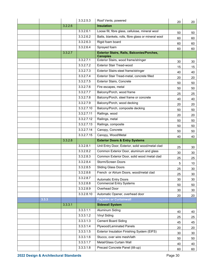|       |         | 3.3.2.5.3  | Roof Vents, powered                                     | 20       | 20       |
|-------|---------|------------|---------------------------------------------------------|----------|----------|
|       | 3.2.2.6 |            | <b>Insulation</b>                                       |          |          |
|       |         | 3.3.2.6.1  | Loose fill, fibre glass, cellulose, mineral wool        | 50       | 50       |
|       |         | 3.3.2.6.2  | Batts, blankets, rolls, fibre glass or mineral wool     | 60       | 60       |
|       |         | 3.3.2.6.3  | Rigid foam board                                        | 60       | 60       |
|       |         | 3.3.2.6.4  | Sprayed foam                                            | 60       | 60       |
|       | 3.3.2.7 |            | <b>Exterior Stairs, Rails, Balconies/Porches,</b>       |          |          |
|       |         | 3.3.2.7.1  | <b>Canopies</b><br>Exterior Stairs, wood frame/stringer | 30       |          |
|       |         | 3.3.2.7.2  | <b>Exterior Stair Tread-wood</b>                        |          | 30       |
|       |         | 3.3.2.7.3  | Exterior Stairs-steel frame/stringer                    | 15<br>40 | 15       |
|       |         | 3.3.2.7.4  | Exterior Stair Tread-metal, concrete filled             | 20       | 40<br>20 |
|       |         | 3.3.2.7.5  | Exterior Stairs, Concrete                               | 50       | 50       |
|       |         | 3.3.2.7.6  | Fire escapes, metal                                     | 50       | 50       |
|       |         | 3.3.2.7.7  | Balcony/Porch, wood frame                               | 25       | 25       |
|       |         | 3.3.2.7.8  | Balcony/Porch, steel frame or concrete                  | 40       | 40       |
|       |         | 3.3.2.7.9  | Balcony/Porch, wood decking                             | 20       | 20       |
|       |         | 3.3.2.7.10 | Balcony/Porch, composite decking                        | 50       | 50       |
|       |         | 3.3.2.7.11 | Railings, wood                                          | 20       | 20       |
|       |         | 3.3.2.7.12 | Railings, metal                                         | 50       | 50       |
|       |         | 3.3.2.7.13 | Railings, composite                                     | 50       | 50       |
|       |         | 3.3.2.7.14 | Canopy, Concrete                                        | 50       | 50       |
|       |         |            |                                                         |          |          |
|       |         | 3.3.2.7.15 | Canopy, Wood/Metal                                      |          |          |
|       | 3.3.2.8 |            | <b>Exterior Doors &amp; Entry Systems</b>               | 40       | 40       |
|       |         | 3.3.2.8.1  | Unit Entry Door, Exterior, solid wood/metal clad        |          |          |
|       |         | 3.3.2.8.2  | Common Exterior Door, aluminum and glass                | 25       | 30       |
|       |         | 3.3.2.8.3  | Common Exterior Door, solid wood /metal clad            | 30       | 30       |
|       |         | 3.3.2.8.4  | Storm/Screen Doors                                      | 25       | 25       |
|       |         | 3.3.2.8.5  | <b>Sliding Glass Doors</b>                              | 5        | 10       |
|       |         | 3.3.2.8.6  | French or Atrium Doors, wood/metal clad                 | 25<br>25 | 30<br>30 |
|       |         | 3.3.2.8.7  | <b>Automatic Entry Doors</b>                            | 30       | 30       |
|       |         | 3.3.2.8.8  | <b>Commercial Entry Systems</b>                         |          |          |
|       |         | 3.3.2.8.9  | Overhead Door                                           | 50<br>30 | 50<br>30 |
|       |         | 3.3.2.8.10 | Automatic Opener, overhead door                         | 20       |          |
| 3.3.3 |         |            | <b>Façades or Curtainwall</b>                           |          | 20       |
|       | 3.3.3.1 |            | <b>Sidewall System</b>                                  |          |          |
|       |         | 3.3.3.1.1  | <b>Aluminum Siding</b>                                  | 40       | 40       |
|       |         | 3.3.3.1.2  | <b>Vinyl Siding</b>                                     | 25       | 25       |
|       |         | 3.3.3.1.3  | <b>Cement Board Siding</b>                              | 45       | 45       |
|       |         | 3.3.3.1.4  | <b>Plywood/Laminated Panels</b>                         | 20       | 20       |
|       |         | 3.3.3.1.5  | Exterior Insulation Finishing System (EIFS)             | 30       | 30       |
|       |         | 3.3.3.1.6  | Stucco, over wire mesh/lath                             | 50       | 50       |
|       |         | 3.3.3.1.7  | Metal/Glass Curtain Wall                                | 40       | 40       |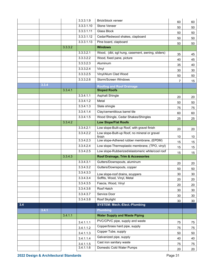|     |       |         | 3.3.3.1.9  | Brick/block veneer                                      | 60 | 60 |
|-----|-------|---------|------------|---------------------------------------------------------|----|----|
|     |       |         | 3.3.3.1.10 | Stone Veneer                                            | 50 | 50 |
|     |       |         | 3.3.3.1.11 | Glass Block                                             | 50 | 50 |
|     |       |         | 3.3.3.1.12 | Cedar/Redwood shakes, clapboard                         | 50 | 50 |
|     |       |         | 3.3.3.1.13 | Pine board, clapboard                                   | 50 | 50 |
|     |       | 3.3.3.2 |            | <b>Windows</b>                                          |    |    |
|     |       |         | 3.3.3.2.1  | Wood, (dbl, sgl hung, casement, awning, sliders)        | 35 | 45 |
|     |       |         | 3.3.3.2.2  | Wood, fixed pane, picture                               | 40 | 45 |
|     |       |         | 3.3.3.2.3  | Aluminum                                                | 35 | 40 |
|     |       |         | 3.3.3.2.4  | Vinyl                                                   | 30 | 30 |
|     |       |         | 3.3.3.2.5  | Vinyl/Alum Clad Wood                                    | 50 | 50 |
|     |       |         | 3.3.3.2.6  | Storm/Screen Windows                                    | 7  | 15 |
|     | 3.3.4 |         |            | <b>Roofing and Roof Drainage</b>                        |    |    |
|     |       | 3.3.4.1 |            | <b>Sloped Roofs</b>                                     |    |    |
|     |       |         | 3.3.4.1.1  | <b>Asphalt Shingle</b>                                  | 20 | 20 |
|     |       |         | 3.3.4.1.2  | Metal                                                   | 50 | 50 |
|     |       |         | 3.3.4.1.3  | Slate shingle                                           | 75 | 75 |
|     |       |         | 3.3.4.1.4  | Clay/cementitious barrel tile                           | 60 | 60 |
|     |       |         | 3.3.4.1.5  | Wood Shingle, Cedar Shakes/Shingles                     | 25 | 25 |
|     |       | 3.3.4.2 |            | <b>Low Slope/Flat Roofs</b>                             |    |    |
|     |       |         | 3.3.4.2.1  | Low slope-Built-up Roof, with gravel finish             | 20 | 20 |
|     |       |         | 3.3.4.2.2  | Low slope-Built-up Roof, no mineral or gravel<br>finish | 10 | 10 |
|     |       |         | 3.3.4.2.3  | Low slope-Adhered rubber membrane, (EPDM)               | 15 | 15 |
|     |       |         | 3.3.4.2.4  | Low slope-Thermoplastic membrane, (TPO, vinyl)          | 15 | 15 |
|     |       |         | 3.3.4.2.5  | Low slope-Rubberized/elastomeric white/cool roof        | 15 | 15 |
|     |       | 3.3.4.3 |            | Roof Drainage, Trim & Accessories                       |    |    |
|     |       |         | 3.3.4.3.1  | Gutters/Downspouts, aluminum                            | 20 | 20 |
|     |       |         | 3.3.4.3.2  | Gutters/Downspouts, copper                              | 50 | 50 |
|     |       |         | 3.3.4.3.3  | Low slope-roof drains, scuppers                         | 30 | 30 |
|     |       |         | 3.3.4.3.4  | Soffits, Wood, Vinyl, Metal                             | 20 | 20 |
|     |       |         | 3.3.4.3.5  | Fascia, Wood, Vinyl                                     | 20 | 20 |
|     |       |         | 3.3.4.3.6  | Roof Hatch                                              | 30 | 30 |
|     |       |         | 3.3.4.3.7  | Service Door                                            | 30 | 30 |
|     |       |         | 3.3.4.3.8  | Roof Skylight                                           | 30 | 30 |
| 3.4 |       |         |            | <b>SYSTEM: Mech.-Elect.-Plumbing</b>                    |    |    |
|     | 3.4.1 |         |            | <b>Plumbing</b>                                         |    |    |
|     |       | 3.4.1.1 |            | <b>Water Supply and Waste Piping</b>                    |    |    |
|     |       |         | 3.4.1.1.1  | PVC/CPVC pipe, supply and waste                         | 75 | 75 |
|     |       |         | 3.4.1.1.2  | Copper/brass hard pipe, supply                          | 75 | 75 |
|     |       |         | 3.4.1.1.3  | Copper Tube, supply                                     | 50 | 50 |
|     |       |         | 3.4.1.1.4  | Galvanized pipe, supply                                 | 40 | 40 |
|     |       |         | 3.4.1.1.5  | Cast iron sanitary waste                                | 75 | 75 |
|     |       |         | 3.4.1.1.6  | Domestic Cold Water Pumps                               | 20 | 20 |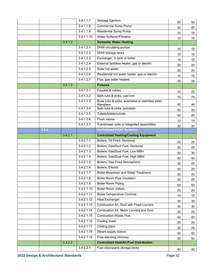|       |         | 3.4.1.1.7               | Sewage Ejectors                                               | 50 | 50     |
|-------|---------|-------------------------|---------------------------------------------------------------|----|--------|
|       |         | 3.4.1.1.8               | <b>Commercial Sump Pump</b>                                   | 20 | 20     |
|       |         | 3.4.1.1.9               | Residential Sump Pump                                         | 15 | 15     |
|       |         | 3.4.1.1.10              | <b>Water Softener/Filtration</b>                              | 15 | 15     |
|       | 3.4.1.2 |                         | <b>Domestic Water Heating</b>                                 |    |        |
|       |         | 3.4.1.2.1               | DHW circulating pumps                                         | 15 | 15     |
|       |         | 3.4.1.2.2               | <b>DHW</b> storage tanks                                      | 15 | 15     |
|       |         | 3.4.1.2.3               | Exchanger, in tank or boiler                                  | 15 | 15     |
|       |         | 3.4.1.2.4               | External tankless heater, gas or electric                     | 20 | 20     |
|       |         | 3.4.1.2.5               | Solar hot water                                               | 20 | 20     |
|       |         | 3.4.1.2.6               | Residential hot water heater, gas or electric                 | 12 | 15     |
|       |         | 3.4.1.2.7               | Flue, gas water heaters                                       | 35 | 35     |
|       | 3.4.1.3 |                         | <b>Fixtures</b>                                               |    |        |
|       |         | 3.4.1.3.1               | Faucets & valves                                              | 15 | 20     |
|       |         | 3.4.1.3.2               | Bath tubs & sinks, cast iron                                  | 75 | 75     |
|       |         | 3.4.1.3.3               | Bubs tubs & sinks, enameled or stainless steel,<br>fiberglass | 40 | 40     |
|       |         | 3.4.1.3.4               | Bath tubs & sinks, porcelain                                  | 50 | 50     |
|       |         | 3.4.1.3.5               | Toilets/bidets/urinals                                        | 40 | 40     |
|       |         | 3.4.1.3.6               | Flush valves                                                  | 10 | 15     |
|       |         | 3.4.1.3.7               | Tub/shower units or integrated assemblies                     | 30 | 30     |
| 3.4.2 |         |                         | <b>Centralized HVAC Systems</b>                               |    |        |
|       | 3.4.2.1 |                         | <b>Centralized Heating/Cooling Equipment</b>                  |    |        |
|       |         | 3.4.2.1.1               | Boilers, Oil Fired, Sectional                                 | 25 | 25     |
|       |         | 3.4.2.1.2               | Boilers, Gas/Dual Fuel, Sectional                             | 25 | 25     |
|       |         | 3.4.2.1.3               | Boilers, Gas/Dual Fuel, Low MBH                               | 30 | 30     |
|       |         | 3.4.2.1.4               | Boilers, Gas/Dual Fuel, High MBH                              | 40 | 40     |
|       |         | 3.4.2.1.5               | Boilers, Gas Fired Atmospheric                                | 25 | 25     |
|       |         | 3.4.2.1.6               | Boilers, Electric                                             | 20 | 20     |
|       |         | 3.4.2.1.7               | <b>Boiler Blowdown and Water Treatment</b>                    | 25 | 25     |
|       |         | 3.4.2.1.8               | <b>Boiler Room Pipe Insulation</b>                            | 25 | 25     |
|       |         | 3.4.2.1.9               | <b>Boiler Room Piping</b>                                     | 50 | 50     |
|       |         | $3.\overline{4.2.1.10}$ | <b>Boiler Room Valves</b>                                     | 25 | 25     |
|       |         | 3.4.2.1.11              | <b>Boiler Temperature Controls</b>                            | 15 | 15     |
|       |         | 3.4.2.1.12              | <b>Heat Exchanger</b>                                         | 35 | 35     |
|       |         | 3.4.2.1.13              | Combustion Air, Duct with Fixed Louvers                       | 30 | $30\,$ |
|       |         | 3.4.2.1.14              | Combustion Air, Motor Louvers and Duct                        | 25 | 25     |
|       |         | 3.4.2.1.15              | <b>Combustion Waste Flue</b>                                  | 40 | 40     |
|       |         | 3.4.2.1.16              | Cooling tower                                                 | 25 | 25     |
|       |         | 3.4.2.1.17              | Chilling plant                                                | 20 | 20     |
|       |         | 3.4.2.1.18              | Steam supply station                                          | 50 | 50     |
|       |         | 3.4.2.1.19              | Free standing chimney                                         | 50 | 50     |
|       | 3.4.2.2 |                         | <b>Centralized Heat/Air/Fuel Distribution</b>                 |    |        |
|       |         | 3.4.2.2.1               | Fuel oil/propane storage tanks                                | 40 | 40     |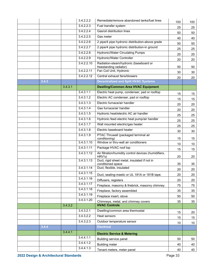|       |         | 3.4.2.2.2  | Remediate/remove abandoned tanks/fuel lines                       | 100             | 100             |
|-------|---------|------------|-------------------------------------------------------------------|-----------------|-----------------|
|       |         | 3.4.2.2.3  | Fuel transfer system                                              | 25              | 25              |
|       |         | 3.4.2.2.4  | Gas/oil distribution lines                                        | 50              | 50              |
|       |         | 3.4.2.2.5  | Gas meter                                                         | 40              | 40              |
|       |         | 3.4.2.2.6  | 2 pipe/4 pipe hydronic distribution-above grade                   | 50              | 50              |
|       |         | 3.4.2.2.7  | 2 pipe/4 pipe hydronic distribution-in ground                     | 25              | 25              |
|       |         | 3.4.2.2.8  | <b>Hydronic/Water Circulating Pumps</b>                           | 20              | 20              |
|       |         | 3.4.2.2.9  | <b>Hydronic/Water Controller</b>                                  | 20              | 20              |
|       |         | 3.4.2.2.10 | Radiation-steam/hydronic (baseboard or<br>freestanding radiator)  | 50              | 50              |
|       |         | 3.4.2.2.11 | Fan Coil Unit, Hydronic                                           | 30              | 30              |
|       |         | 3.4.2.2.12 | Central exhaust fans/blowers                                      | 20              | 20              |
| 3.4.3 |         |            | <b>Decentralized and Split HVAC Systems</b>                       |                 |                 |
|       | 3.4.3.1 |            | <b>Dwelling/Common Area HVAC Equipment</b>                        |                 |                 |
|       |         | 3.4.3.1.1  | Electric heat pump, condenser, pad or rooftop                     | 15              | 15              |
|       |         | 3.4.3.1.2  | Electric AC condenser, pad or rooftop                             | 15              | 15              |
|       |         | 3.4.3.1.3  | Electric furnace/air handler                                      | 20              | 20              |
|       |         | 3.4.3.1.4  | Gas furnace/air handler                                           | 20              | 20              |
|       |         | 3.4.3.1.5  | Hydronic heat/electric AC air handler                             | 25              | 25              |
|       |         | 3.4.3.1.6  | Hydronic feed electric heat pump/air handler                      | 25              | 25              |
|       |         | 3.4.3.1.7  | Wall mounted electric/gas heater                                  | 25              | 25              |
|       |         | 3.4.3.1.8  | Electric baseboard heater                                         | 30              | 30              |
|       |         | 3.4.3.1.9  | PTAC Thruwall (packaged terminal air<br>conditioning)             | 15              | 15              |
|       |         | 3.4.3.1.10 | Window or thru-wall air conditioners                              | 10              | 10              |
|       |         | 3.4.3.1.11 | Package HVAC roof top                                             | 15              | 15              |
|       |         | 3.4.3.1.12 | Air filtration/humidity control devices (humidifiers,<br>HRV's)   | 20              | 20              |
|       |         | 3.4.3.1.13 | Duct, rigid sheet metal, insulated if not in<br>conditioned space | 35              | 35              |
|       |         | 3.4.3.1.14 | Duct, flexible, insulated                                         | 20              | 20              |
|       |         | 3.4.3.1.15 | Duct, sealing-mastic or UL 181A or 181B tape.                     | 20              | 20              |
|       |         | 3.4.3.1.16 | Diffusers, registers                                              | 20              | 20              |
|       |         | 3.4.3.1.17 | Fireplace, masonry & firebrick, masonry chimney                   | 75              | 75              |
|       |         | 3.4.3.1.18 | Fireplace, factory assembled                                      | 35              | 35              |
|       |         | 3.4.3.1.19 | Fireplace insert, stove                                           | 50              | 50              |
|       |         | 3.4.3.1.20 | Chimneys, metal, and chimney covers                               | 35              | 35              |
|       | 3.4.3.2 |            | <b>HVAC Controls</b>                                              |                 |                 |
|       |         | 3.4.3.2.1  | Dwelling/common area thermostat                                   | 15              | 20              |
|       |         | 3.4.3.2.2  | Heat sensors                                                      | 15              | 15              |
|       |         | 3.4.3.2.3  | Outdoor temperature sensor                                        | 10 <sup>°</sup> | 10 <sup>°</sup> |
| 3.4.4 |         |            | <b>Electrical</b>                                                 |                 |                 |
|       | 3.4.4.1 |            | <b>Electric Service &amp; Metering</b>                            |                 |                 |
|       |         | 3.4.4.1.1  | Building service panel                                            | 50              | 50              |
|       |         | 3.4.4.1.2  | <b>Building meter</b>                                             | 40              | 40              |
|       |         | 3.4.4.1.3  | Tenant meters, meter panel                                        | 40              | 40              |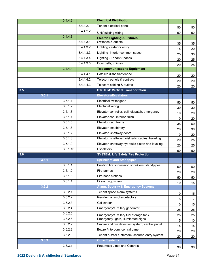|     |       | 3.4.4.2  |           | <b>Electrical Distribution</b>                    |                 |    |
|-----|-------|----------|-----------|---------------------------------------------------|-----------------|----|
|     |       |          | 3.4.4.2.1 | Tenant electrical panel                           | 50              | 50 |
|     |       |          | 3.4.4.2.2 | Unit/building wiring                              | 50              | 50 |
|     |       | 3.4.4.3  |           | <b>Electric Lighting &amp; Fixtures</b>           |                 |    |
|     |       |          | 3.4.4.3.1 | Switches & outlets                                | 35              | 35 |
|     |       |          | 3.4.4.3.2 | Lighting - exterior entry                         | 15              | 20 |
|     |       |          | 3.4.4.3.3 | Lighting- interior common space                   | 25              | 30 |
|     |       |          | 3.4.4.3.4 | <b>Lighting - Tenant Spaces</b>                   | 20              | 25 |
|     |       |          | 3.4.4.3.5 | Door bells, chimes                                | 20              | 25 |
|     |       | 3.4.4.4  |           | <b>Telecommunications Equipment</b>               |                 |    |
|     |       |          | 3.4.4.4.1 | Satellite dishes/antennae                         | 20              | 20 |
|     |       |          | 3.4.4.4.2 | Telecom panels & controls                         | 20              | 20 |
|     |       |          | 3.4.4.4.3 | Telecom cabling & outlets                         | 20              | 20 |
| 3.5 |       |          |           | <b>SYSTEM: Vertical Transportation</b>            |                 |    |
|     | 3.5.1 |          |           | <b>Elevators/Escalators</b>                       |                 |    |
|     |       | 3.5.1.1  |           | Electrical switchgear                             | 50              | 50 |
|     |       | 3.5.1.2  |           | <b>Electrical wiring</b>                          | 30              | 30 |
|     |       | 3.5.1.3  |           | Elevator controller, call, dispatch, emergency    | 10              | 20 |
|     |       | 3.5.1.4  |           | Elevator cab, interior finish                     | 10              | 20 |
|     |       | 3.5.1.5  |           | Elevator cab, frame                               | 35              | 50 |
|     |       | 3.5.1.6  |           | Elevator, machinery                               | 20              | 30 |
|     |       | 3.5.1.7  |           | Elevator, shaftway doors                          | 10              | 20 |
|     |       | 3.5.1.8  |           | Elevator, shaftway hoist rails, cables, traveling | 20              | 25 |
|     |       | 3.5.1.9  |           | Elevator, shaftway hydraulic piston and leveling  | 20              | 25 |
|     |       | 3.5.1.10 |           | Escalators                                        | 50              | 50 |
| 3.6 |       |          |           | <b>SYSTEM: Life Safety/Fire Protection</b>        |                 |    |
|     | 3.6.1 |          |           | <b>Sprinklers and Standpipes</b>                  |                 |    |
|     |       | 3.6.1.1  |           | Building fire supression sprinklers, standpipes   | 50              | 50 |
|     |       | 3.6.1.2  |           | Fire pumps                                        | 20              | 20 |
|     |       | 3.6.1.3  |           | Fire hose stations                                | 50              | 50 |
|     |       | 3.6.1.4  |           | Fire extinguishers                                | 10              | 15 |
|     | 3.6.2 |          |           | <b>Alarm, Security &amp; Emergency Systems</b>    |                 |    |
|     |       | 3.6.2.1  |           | Tenant space alarm systems                        | 10 <sup>°</sup> | 15 |
|     |       | 3.6.2.2  |           | Residential smoke detectors                       | 5               | 7  |
|     |       | 3.6.2.3  |           | Call station                                      | 10 <sup>°</sup> | 15 |
|     |       | 3.6.2.4  |           | Emergency/auxillary generator                     | 25              | 25 |
|     |       | 3.6.2.5  |           | Emergency/auxillary fuel storage tank             | 25              | 25 |
|     |       | 3.6.2.6  |           | Emergency lights, illuminated signs               | 5               | 10 |
|     |       | 3.6.2.7  |           | Smoke and fire detection system, central panel    | 15              | 15 |
|     |       | 3.6.2.8  |           | Buzzer/intercom, central panel                    | 20              | 20 |
|     |       | 3.6.2.9  |           | Tenant buzzer / intercom /secured entry system    | 20              | 20 |
|     | 3.6.3 |          |           | <b>Other Systems</b>                              |                 |    |
|     |       | 3.6.3.1  |           | <b>Pneumatic Lines and Controls</b>               | 30              | 30 |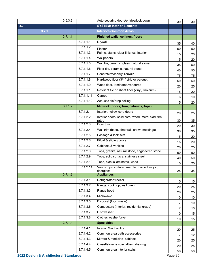|     |       | 3.6.3.2 |            | Auto-securing doors/entries/lock down                       | 30              | 30              |
|-----|-------|---------|------------|-------------------------------------------------------------|-----------------|-----------------|
| 3.7 |       |         |            | <b>SYSTEM: Interior Elements</b>                            |                 |                 |
|     | 3.7.1 |         |            | <b>Interiors-Common Areas</b>                               |                 |                 |
|     |       | 3.7.1.1 |            | <b>Finished walls, ceilings, floors</b>                     |                 |                 |
|     |       |         | 3.7.1.1.1  | <b>Drywall</b>                                              | 35              | 40              |
|     |       |         | 3.7.1.1.2  | Plaster                                                     | 50              | 50              |
|     |       |         | 3.7.1.1.3  | Paints, stains, clear finishes, interior                    | 15              | 20              |
|     |       |         | 3.7.1.1.4  | Wallpapers                                                  | 15              | 20              |
|     |       |         | 3.7.1.1.5  | Wall tile, ceramic, glass, natural stone                    | 35              | 50              |
|     |       |         | 3.7.1.1.6  | Floor tile, ceramic, natural stone                          | 40              | 50              |
|     |       |         | 3.7.1.1.7  | Concrete/Masonry/Terrazo                                    | 75              | 75              |
|     |       |         | 3.7.1.1.8  | Hardwood floor (3/4" strip or parquet)                      | 50              | 50              |
|     |       |         | 3.7.1.1.9  | Wood floor, laminated/veneered                              | 20              | 25              |
|     |       |         | 3.7.1.1.10 | Resilient tile or sheet floor (vinyl, linoleum)             | 15              | 20              |
|     |       |         | 3.7.1.1.11 | Carpet                                                      | 6               | 10              |
|     |       |         | 3.7.1.1.12 | Acoustic tile/drop ceiling                                  | 15              | 20              |
|     |       | 3.7.1.2 |            | Millwork (doors, trim, cabinets, tops)                      |                 |                 |
|     |       |         | 3.7.1.2.1  | Interior, hollow core doors                                 | 20              | 25              |
|     |       |         | 3.7.1.2.2  | Interior doors, solid core, wood, metal clad, fire<br>rated | 30              | 35              |
|     |       |         | 3.7.1.2.3  | Door trim                                                   | 20              | 30              |
|     |       |         | 3.7.1.2.4  | Wall trim (base, chair rail, crown moldings)                | 30              | 35              |
|     |       |         | 3.7.1.2.5  | Passage & lock sets                                         | 15              | 20              |
|     |       |         | 3.7.1.2.6  | Bifold & sliding doors                                      | 15              | 20              |
|     |       |         | 3.7.1.2.7  | Cabinets & vanities                                         | 20              | 25              |
|     |       |         | 3.7.1.2.8  | Tops, granite, natural stone, engineered stone              | 50              | 50              |
|     |       |         | 3.7.1.2.9  | Tops, solid surface, stainless steel                        | 40              | 50              |
|     |       |         | 3.7.1.2.10 | Tops, plastic laminates, wood                               | 15              | 25              |
|     |       |         | 3.7.1.2.11 | Vanity tops, cultured marble, molded arcylic,<br>fiberglass | 25              | 35              |
|     |       | 3.7.1.3 |            | <b>Appliances</b>                                           |                 |                 |
|     |       |         | 3.7.1.3.1  | Refrigerator/freezer                                        | 15              | 15              |
|     |       |         | 3.7.1.3.2  | Range, cook top, wall oven                                  | 20              | 25              |
|     |       |         | 3.7.1.3.3  | Range hood                                                  | 20              | 25              |
|     |       |         | 3.7.1.3.4  | Microwave                                                   | 10 <sup>°</sup> | 10 <sup>°</sup> |
|     |       |         | 3.7.1.3.5  | Disposal (food waste)                                       |                 | 10 <sub>1</sub> |
|     |       |         | 3.7.1.3.6  | Compactors (interior, residential grade)                    | $\overline{7}$  | 10              |
|     |       |         | 3.7.1.3.7  | Dishwasher                                                  | 10              | 15              |
|     |       |         | 3.7.1.3.8  | Clothes washer/dryer                                        | 10 <sup>°</sup> | 15              |
|     |       | 3.7.1.4 |            | <b>Specialties</b>                                          |                 |                 |
|     |       |         | 3.7.1.4.1  | Interior Mail Facility                                      | 20              | 25              |
|     |       |         | 3.7.1.4.2  | Common area bath accessories                                | 7               | 12              |
|     |       |         | 3.7.1.4.3  | Mirrors & medicine cabinets                                 | 20              | 25              |
|     |       |         | 3.7.1.4.4  | Closet/storage specialties, shelving                        | 20              | 25              |
|     |       |         | 3.7.1.4.5  | Common area interior stairs                                 | 50              | 50              |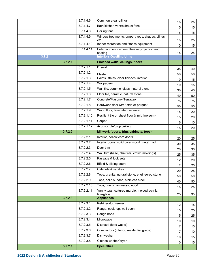|       |         | 3.7.1.4.6  | Common area railings                                        | 15              | 25              |
|-------|---------|------------|-------------------------------------------------------------|-----------------|-----------------|
|       |         | 3.7.1.4.7  | Bath/kitchen vent/exhaust fans                              | 15              | 15              |
|       |         | 3.7.1.4.8  | Ceiling fans                                                | 15              | 15              |
|       |         | 3.7.1.4.9  | Window treatments, drapery rods, shades, blinds,<br>etc     | 15              | 25              |
|       |         | 3.7.1.4.10 | Indoor recreation and fitness equipment                     | 10              | 15              |
|       |         | 3.7.1.4.11 | Entertainment centers, theatre projection and<br>seating    | 15              | 25              |
| 3.7.2 |         |            | <b>Interiors-Dwelling Units</b>                             |                 |                 |
|       | 3.7.2.1 |            | <b>Finished walls, ceilings, floors</b>                     |                 |                 |
|       |         | 3.7.2.1.1  | Drywall                                                     | 35              | 40              |
|       |         | 3.7.2.1.2  | Plaster                                                     | 50              | 50              |
|       |         | 3.7.2.1.3  | Paints, stains, clear finishes, interior                    | 10              | 15              |
|       |         | 3.7.2.1.4  | Wallpapers                                                  | 10              | 15              |
|       |         | 3.7.2.1.5  | Wall tile, ceramic, glass, natural stone                    | 30              | 40              |
|       |         | 3.7.2.1.6  | Floor tile, ceramic, natural stone                          | 40              | 50              |
|       |         | 3.7.2.1.7  | Concrete/Masonry/Terrazzo                                   | 75              | 75              |
|       |         | 3.7.2.1.8  | Hardwood floor (3/4" strip or parquet)                      | 50              | 50              |
|       |         | 3.7.2.1.9  | Wood floor, laminated/veneered                              | 15              | 20              |
|       |         | 3.7.2.1.10 | Resilient tile or sheet floor (vinyl, linoleum)             | 15              | 20              |
|       |         | 3.7.2.1.11 | Carpet                                                      | 6               | 10              |
|       |         | 3.7.2.1.12 | Acoustic tile/drop ceiling                                  | 15              | 20              |
|       | 3.7.2.2 |            | Millwork (doors, trim, cabinets, tops)                      |                 |                 |
|       |         | 3.7.2.2.1  | Interior, hollow core doors                                 | 20              | 25              |
|       |         | 3.7.2.2.2  | Interior doors, solid core, wood, metal clad                | 30              | 35              |
|       |         | 3.7.2.2.3  | Door trim                                                   | 20              | 30              |
|       |         | 3.7.2.2.4  | Wall trim (base, chair rail, crown moldings)                | 25              | 35              |
|       |         | 3.7.2.2.5  | Passage & lock sets                                         | 12              | 20              |
|       |         | 3.7.2.2.6  | Bifold & sliding doors                                      | 12              | 20              |
|       |         | 3.7.2.2.7  | Cabinets & vanities                                         | 20              | 25              |
|       |         | 3.7.2.2.8  | Tops, granite, natural stone, engineered stone              | 50              | 50              |
|       |         | 3.7.2.2.9  | Tops, solid surface, stainless steel                        | 40              | 50              |
|       |         | 3.7.2.2.10 | Tops, plastic laminates, wood                               | 15              | 25              |
|       |         | 3.7.2.2.11 | Vanity tops, cultured marble, molded acrylic,<br>fiberglass | 25              | 35              |
|       | 3.7.2.3 |            | <b>Appliances</b>                                           |                 |                 |
|       |         | 3.7.2.3.1  | Refrigerator/freezer                                        | 12              | 15              |
|       |         | 3.7.2.3.2  | Range, cook top, wall oven                                  | 15              | 25              |
|       |         | 3.7.2.3.3  | Range hood                                                  | 15              | 25              |
|       |         | 3.7.2.3.4  | Microwave                                                   | 10 <sup>°</sup> | 10 <sup>°</sup> |
|       |         | 3.7.2.3.5  | Disposal (food waste)                                       | 7               | 10              |
|       |         | 3.7.2.3.6  | Compactors (interior, residential grade)                    | $\overline{7}$  | 10 <sup>°</sup> |
|       |         | 3.7.2.3.7  | Dishwasher                                                  | 10              | 15              |
|       |         | 3.7.2.3.8  | Clothes washer/dryer                                        | 10 <sup>°</sup> | 15              |
|       | 3.7.2.4 |            | <b>Specialties</b>                                          |                 |                 |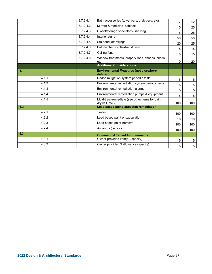|     |       | 3.7.2.4.1 | Bath accessories (towel bars, grab bars, etc)                      | $\overline{7}$ | 12 <sup>°</sup> |
|-----|-------|-----------|--------------------------------------------------------------------|----------------|-----------------|
|     |       | 3.7.2.4.2 | Mirrors & medicine cabinets                                        | 15             | 25              |
|     |       | 3.7.2.4.3 | Closet/storage specialties, shelving                               | 15             | 25              |
|     |       | 3.7.2.4.4 | Interior stairs                                                    | 50             | 50              |
|     |       | 3.7.2.4.5 | Stair and loft railings                                            | 20             | 25              |
|     |       | 3.7.2.4.6 | Bath/kitchen vent/exhaust fans                                     | 15             | 15              |
|     |       | 3.7.2.4.7 | Ceiling fans                                                       | 10             | 15              |
|     |       | 3.7.2.4.8 | Window treatments, drapery rods, shades, blinds,<br>etc            | 10             | 20              |
|     |       |           | <b>Additional Considerations</b>                                   |                |                 |
| 4.1 |       |           | <b>Environmental Measures (not elsewhere</b><br>defined)           |                |                 |
|     | 4.1.1 |           | Radon mitigation system periodic tests                             | 5              | $5\phantom{.0}$ |
|     | 4.1.2 |           | Environmental remediation system periodic tests                    | 5              | 5               |
|     | 4.1.3 |           | Environmental remediation alarms                                   | 5              | 5               |
|     | 4.1.4 |           | Environmental remediation pumps & equipment                        | 5              | 5               |
|     | 4.1.5 |           | Mold-treat-remediate (see other items for paint,<br>drywall, etc.) | 100            | 100             |
| 4.2 |       |           | Lead based paint, asbestos remediation                             |                |                 |
|     | 4.2.1 |           | Testing                                                            | 100            | 100             |
|     | 4.2.2 |           | Lead based paint encapsulation                                     | 10             | 10 <sup>°</sup> |
|     | 4.2.3 |           | Lead based paint (remove)                                          | 100            | 100             |
|     | 4.2.4 |           | Asbestos (remove)                                                  | 100            | 100             |
| 4.3 |       |           | <b>Commercial Tenant Improvements</b>                              |                |                 |
|     | 4.3.1 |           | Owner provided item(s) (specify)                                   | 5              | 5               |
|     | 4.3.2 |           | Owner provided \$ allowance (specify)                              | 5              | 5               |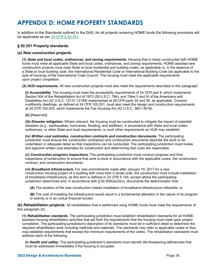# **APPENDIX D: HOME PROPERTY STANDARDS**

In addition to the Standards outlined in the DAS, for all projects receiving HOME funds the following provisions will be applicable as per **24 CFR § 92.251**.

## **§ 92.251 Property standards.**

#### **(a)** *New construction projects.*

**(1)** *State and local codes, ordinances, and zoning requirements.* Housing that is newly constructed with HOME funds must meet all applicable State and local codes, ordinances, and zoning requirements. HOME-assisted new construction projects must meet State or local residential and building codes, as applicable or, in the absence of a State or local building code, the International Residential Code or International Building Code (as applicable to the type of housing) of the International Code Council. The housing must meet the applicable requirements upon project completion.

**(2)** *HUD requirements.* All new construction projects must also meet the requirements described in this paragraph:

**(i)** *Accessibility.* The housing must meet the accessibility requirements of 24 CFR part 8, which implements Section 504 of the Rehabilitation Act of 1973 (29 U.S.C. 794), and Titles II and III of the Americans with Disabilities Act (42 U.S.C. 12131-12189) implemented at 28 CFR parts 35 and 36, as applicable. Covered multifamily dwellings, as defined at 24 CFR 100.201, must also meet the design and construction requirements at 24 CFR 100.205, which implements the Fair Housing Act (42 U.S.C. 3601-3619).

#### **(ii)** [Reserved]

**(iii)** *Disaster mitigation.* Where relevant, the housing must be constructed to mitigate the impact of potential disasters (e.g., earthquakes, hurricanes, flooding, and wildfires), in accordance with State and local codes, ordinances, or other State and local requirements, or such other requirements as HUD may establish.

**(iv)** *Written cost estimates, construction contracts and construction documents.* The participating jurisdiction must ensure the construction contract(s) and construction documents describe the work to be undertaken in adequate detail so that inspections can be conducted. The participating jurisdiction must review and approve written cost estimates for construction and determining that costs are reasonable.

**(v)** *Construction progress inspections.* The participating jurisdiction must conduct progress and final inspections of construction to ensure that work is done in accordance with the applicable codes, the construction contract, and construction documents.

**(vi)** *Broadband infrastructure.* For new commitments made after January 19, 2017 for a new construction housing project of a building with more than 4 rental units, the construction must include installation of broadband infrastructure, as this term is defined in 24 CFR 5.100, except where the participating jurisdiction determines and, in accordance with § 92.508(a)(3)(iv), documents the determination that:

**(A)** The location of the new construction makes installation of broadband infrastructure infeasible; or

**(B)** The cost of installing the infrastructure would result in a fundamental alteration in the nature of its program or activity or in an undue financial burden.

**(b)** *Rehabilitation projects.* All rehabilitation that is performed using HOME funds must meet the requirements of this paragraph (b).

**(1)** *Rehabilitation standards.* The participating jurisdiction must establish rehabilitation standards for all HOMEassisted housing rehabilitation activities that set forth the requirements that the housing must meet upon project completion. The participating jurisdiction's description of its standards must be in sufficient detail to determine the required rehabilitation work including methods and materials. The standards may refer to applicable codes or they may establish requirements that exceed the minimum requirements of the codes. The rehabilitation standards must address each of the following:

**(i)** *Health and safety.* The participating jurisdiction's standards must identify life-threatening deficiencies that must be addressed immediately if the housing is occupied.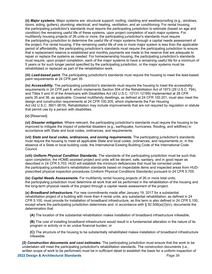**(ii)** *Major systems.* Major systems are: structural support; roofing; cladding and weatherproofing (e.g., windows, doors, siding, gutters); plumbing; electrical; and heating, ventilation, and air conditioning. For rental housing, the participating jurisdiction's standards must require the participating jurisdiction to estimate (based on age and condition) the remaining useful life of these systems, upon project completion of each major systems. For multifamily housing projects of 26 units or more, the participating jurisdiction's standards must require the participating jurisdiction to determine the useful life of major systems through a capital needs assessment of the project. For rental housing, if the remaining useful life of one or more major system is less than the applicable period of affordability, the participating jurisdiction's standards must require the participating jurisdiction to ensure that a replacement reserve is established and monthly payments are made to the reserve that are adequate to repair or replace the systems as needed. For homeownership housing, the participating jurisdiction's standards must require, upon project completion, each of the major systems to have a remaining useful life for a minimum of 5 years or for such longer period specified by the participating jurisdiction, or the major systems must be rehabilitated or replaced as part of the rehabilitation work.

**(iii)** *Lead-based paint.* The participating jurisdiction's standards must require the housing to meet the lead-based paint requirements at 24 CFR part 35.

**(iv)** *Accessibility.* The participating jurisdiction's standards must require the housing to meet the accessibility requirements in 24 CFR part 8, which implements Section 504 of the Rehabilitation Act of 1973 (29 U.S.C. 794), and Titles II and III of the Americans with Disabilities Act (42 U.S.C. 12131-12189) implemented at 28 CFR parts 35 and 36, as applicable. Covered multifamily dwellings, as defined at 24 CFR 100.201, must also meet the design and construction requirements at 24 CFR 100.205, which implements the Fair Housing Act (42 U.S.C. 3601-3619). Rehabilitation may include improvements that are not required by regulation or statute that permit use by a person with disabilities.

#### **(v)** [Reserved]

**(vi)** *Disaster mitigation.* Where relevant, the participating jurisdiction's standards must require the housing to be improved to mitigate the impact of potential disasters (e.g., earthquake, hurricanes, flooding, and wildfires) in accordance with State and local codes, ordinances, and requirements.

**(vii)** *State and local codes, ordinances, and zoning requirements.* The participating jurisdiction's standards must require the housing to meet all applicable State and local codes, ordinances, and requirements or, in the absence of a State or local building code, the International Existing Building Code of the International Code Council.

**(viii)** *Uniform Physical Condition Standards.* The standards of the participating jurisdiction must be such that, upon completion, the HOME-assisted project and units will be decent, safe, sanitary, and in good repair as described in 24 CFR 5.703. HUD will establish the minimum deficiencies that must be corrected under the participating jurisdiction's rehabilitation standards based on inspectable items and inspected areas from HUDprescribed physical inspection procedures (Uniform Physical Conditions Standards) pursuant to 24 CFR 5.705.

**(ix)** *Capital Needs Assessments.* For multifamily rental housing projects of 26 or more total units, the participating jurisdiction must determine all work that will be performed in the rehabilitation of the housing and the long-term physical needs of the project through a capital needs assessment of the project.

**(x)** *Broadband infrastructure.* For new commitments made after January 19, 2017 for a substantial rehabilitation project of a building with more than 4 rental units, any substantial rehabilitation, as defined in 24 CFR 5.100, must provide for installation of broadband infrastructure, as this term is also defined in 24 CFR 5.100, except where the participating jurisdiction determines and, in accordance with § 92.508(a)(3)(iv), documents the determination that:

**(A)** The location of the substantial rehabilitation makes installation of broadband infrastructure infeasible;

**(B)** The cost of installing broadband infrastructure would result in a fundamental alteration in the nature of its program or activity or in an undue financial burden; or

**(C)** The structure of the housing to be substantially rehabilitated makes installation of broadband infrastructure infeasible.

**(2)** *Construction documents and cost estimates.* The participating jurisdiction must ensure that the work to be undertaken will meet the participating jurisdiction's rehabilitation standards. The construction documents (i.e., written scope of work to be performed) must be in sufficient detail to establish the basis for a uniform inspection of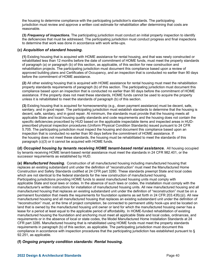the housing to determine compliance with the participating jurisdiction's standards. The participating jurisdiction must review and approve a written cost estimate for rehabilitation after determining that costs are reasonable.

**(3)** *Frequency of inspections.* The participating jurisdiction must conduct an initial property inspection to identify the deficiencies that must be addressed. The participating jurisdiction must conduct progress and final inspections to determine that work was done in accordance with work write-ups.

## **(c)** *Acquisition of standard housing.*

**(1)** Existing housing that is acquired with HOME assistance for rental housing, and that was newly constructed or rehabilitated less than 12 months before the date of commitment of HOME funds, must meet the property standards of paragraph (a) or paragraph (b) of this section, as applicable, of this section for new construction and rehabilitation projects. The participating jurisdiction must document this compliance based upon a review of approved building plans and Certificates of Occupancy, and an inspection that is conducted no earlier than 90 days before the commitment of HOME assistance.

**(2)** All other existing housing that is acquired with HOME assistance for rental housing must meet the rehabilitation property standards requirements of paragraph (b) of this section. The participating jurisdiction must document this compliance based upon an inspection that is conducted no earlier than 90 days before the commitment of HOME assistance. If the property does not meet these standards, HOME funds cannot be used to acquire the property unless it is rehabilitated to meet the standards of paragraph (b) of this section.

**(3)** Existing housing that is acquired for homeownership (e.g., down payment assistance) must be decent, safe, sanitary, and in good repair. The participating jurisdiction must establish standards to determine that the housing is decent, safe, sanitary, and in good repair. At minimum, the standards must provide that the housing meets all applicable State and local housing quality standards and code requirements and the housing does not contain the specific deficiencies proscribed by HUD based on the applicable inspectable items and inspected areas in HUDprescribed physical inspection procedures (Uniform Physical Condition Standards) issued pursuant to 24 CFR 5.705. The participating jurisdiction must inspect the housing and document this compliance based upon an inspection that is conducted no earlier than 90 days before the commitment of HOME assistance. If the housing does not meet these standards, the housing must be rehabilitated to meet the standards of this paragraph (c)(3) or it cannot be acquired with HOME funds.

**(d)** *Occupied housing by tenants receiving HOME tenant-based rental assistance.* All housing occupied by tenants receiving HOME tenant-based rental assistance must meet the standards in 24 CFR 982.401, or the successor requirements as established by HUD.

**(e)** *Manufactured housing.* Construction of all manufactured housing including manufactured housing that replaces an existing substandard unit under the definition of "reconstruction" must meet the Manufactured Home Construction and Safety Standards codified at 24 CFR part 3280. These standards preempt State and local codes which are not identical to the federal standards for the new construction of manufactured housing.

Participating jurisdictions providing HOME funds to assist manufactured housing units must comply with applicable State and local laws or codes. In the absence of such laws or codes, the installation must comply with the manufacturer's written instructions for installation of manufactured housing units. All new manufactured housing and all manufactured housing that replaces an existing substandard unit under the definition of "reconstruction" must be on a permanent foundation that meets the requirements for foundation systems as set forth in 24 CFR 203.43f(c)(i). All new manufactured housing and all manufactured housing that replaces an existing substandard unit under the definition of "reconstruction" must, at the time of project completion, be connected to permanent utility hook-ups and be located on land that is owned by the manufactured housing unit owner or land for which the manufactured housing owner has a lease for a period at least equal to the applicable period of affordability. In HOME-funded rehabilitation of existing manufactured housing the foundation and anchoring must meet all applicable State and local codes, ordinances, and requirements or in the absence of local or state codes, the Model Manufactured Home Installation Standards at 24 CFR part 3285. Manufactured housing that is rehabilitated using HOME funds must meet the property standards requirements in paragraph (b) of this section, as applicable. The participating jurisdiction must document this compliance in accordance with inspection procedures that the participating jurisdiction has established pursuant to § 92.251, as applicable.

# **(f)** *Ongoing property condition standards: Rental housing.*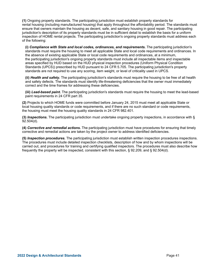**(1)** Ongoing property standards. The participating jurisdiction must establish property standards for rental housing (including manufactured housing) that apply throughout the affordability period. The standards must ensure that owners maintain the housing as decent, safe, and sanitary housing in good repair. The participating jurisdiction's description of its property standards must be in sufficient detail to establish the basis for a uniform inspection of HOME rental projects. The participating jurisdiction's ongoing property standards must address each of the following:

**(i)** *Compliance with State and local codes, ordinances, and requirements.* The participating jurisdiction's standards must require the housing to meet all applicable State and local code requirements and ordinances. In the absence of existing applicable State or local code requirements and ordinances, at a minimum, the participating jurisdiction's ongoing property standards must include all inspectable items and inspectable areas specified by HUD based on the HUD physical inspection procedures (Uniform Physical Condition Standards (UPCS)) prescribed by HUD pursuant to 24 CFR 5.705. The participating jurisdiction's property standards are not required to use any scoring, item weight, or level of criticality used in UPCS.

**(ii)** *Health and safety.* The participating jurisdiction's standards must require the housing to be free of all health and safety defects. The standards must identify life-threatening deficiencies that the owner must immediately correct and the time frames for addressing these deficiencies.

**(iii)** *Lead-based paint.* The participating jurisdiction's standards must require the housing to meet the lead-based paint requirements in 24 CFR part 35.

**(2)** Projects to which HOME funds were committed before January 24, 2015 must meet all applicable State or local housing quality standards or code requirements, and if there are no such standard or code requirements, the housing must meet the housing quality standards in 24 CFR 982.401.

**(3)** *Inspections.* The participating jurisdiction must undertake ongoing property inspections, in accordance with § 92.504(d).

**(4)** *Corrective and remedial actions.* The participating jurisdiction must have procedures for ensuring that timely corrective and remedial actions are taken by the project owner to address identified deficiencies.

**(5)** *Inspection procedures.* The participating jurisdiction must establish written inspection procedures inspections. The procedures must include detailed inspection checklists, description of how and by whom inspections will be carried out, and procedures for training and certifying qualified inspectors. The procedures must also describe how frequently the property will be inspected, consistent with this section, § 92.209, and § 92.504(d).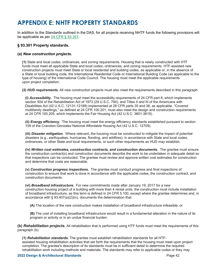# **APPENDIX E: NHTF PROPERTY STANDARDS**

In addition to the Standards outlined in the DAS, for all projects receiving NHTF funds the following provisions will be applicable as per **24 CFR § 93.301**.

## **§ 93.301 Property standards.**

## **(a)** *New construction projects.*

**(1)** State and local codes, ordinances, and zoning requirements. Housing that is newly constructed with HTF funds must meet all applicable State and local codes, ordinances, and zoning requirements. HTF-assisted new construction projects must meet State or local residential and building codes, as applicable or, in the absence of a State or local building code, the International Residential Code or International Building Code (as applicable to the type of housing) of the International Code Council. The housing must meet the applicable requirements upon project completion.

**(2)** *HUD requirements.* All new construction projects must also meet the requirements described in this paragraph:

**(i)** *Accessibility.* The housing must meet the accessibility requirements of 24 CFR part 8, which implements section 504 of the Rehabilitation Act of 1973 (29 U.S.C. 794), and Titles II and III of the Americans with Disabilities Act (42 U.S.C. 12131-12189) implemented at 28 CFR parts 35 and 36, as applicable. "Covered multifamily dwellings," as defined at 24 CFR 100.201, must also meet the design and construction requirements at 24 CFR 100.205, which implements the Fair Housing Act (42 U.S.C. 3601-3619).

**(ii)** *Energy efficiency.*The housing must meet the energy efficiency standards established pursuant to section 109 of the Cranston-Gonzalez National Affordable Housing Act (42 U.S.C. 12709).

**(iii)** *Disaster mitigation.* Where relevant, the housing must be constructed to mitigate the impact of potential disasters (e.g., earthquakes, hurricanes, flooding, and wildfires), in accordance with State and local codes, ordinances, or other State and local requirements, or such other requirements as HUD may establish.

**(iv)** *Written cost estimates, construction contracts, and construction documents.* The grantee must ensure the construction contract(s) and construction documents describe the work to be undertaken in adequate detail so that inspections can be conducted. The grantee must review and approve written cost estimates for construction and determine that costs are reasonable.

**(v)** *Construction progress inspections.* The grantee must conduct progress and final inspections of construction to ensure that work is done in accordance with the applicable codes, the construction contract, and construction documents.

**(vi)** *Broadband infrastructure.* For new commitments made after January 19, 2017 for a new construction housing project of a building with more than 4 rental units, the construction must include installation of broadband infrastructure, as this term is defined in 24 CFR 5.100, except where the grantee determines and, in accordance with § 93.407(a)(2)(iv), documents the determination that:

**(A)** The location of the new construction makes installation of broadband infrastructure infeasible; or

**(B)** The cost of installing broadband infrastructure would result in a fundamental alteration in the nature of its program or activity or in an undue financial burden.

**(b)** *Rehabilitation projects.* All rehabilitation that is performed using HTF funds must meet the requirements of this paragraph (b).

**(1)** *Rehabilitation standards.* The grantee must establish rehabilitation standards for all HTFassisted housing rehabilitation activities that set forth the requirements that the housing must meet upon project completion. The grantee's description of its standards must be in sufficient detail to determine the required rehabilitation work including methods and materials. The standards may refer to applicable codes or they may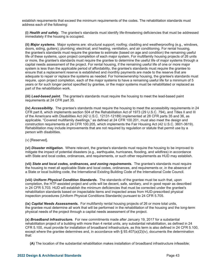establish requirements that exceed the minimum requirements of the codes. The rehabilitation standards must address each of the following:

**(i)** *Health and safety.* The grantee's standards must identify life-threatening deficiencies that must be addressed immediately if the housing is occupied.

**(ii)** *Major systems.* Major systems are: structural support; roofing; cladding and weatherproofing (e.g., windows, doors, siding, gutters); plumbing; electrical; and heating, ventilation, and air conditioning. For rental housing, the grantee's standards must require the grantee to estimate (based on age and condition) the remaining useful life of these systems, upon project completion of each major system. For multifamily housing projects of 26 units or more, the grantee's standards must require the grantee to determine the useful life of major systems through a capital needs assessment of the project. For rental housing, if the remaining useful life of one or more major system is less than the applicable period of affordability, the grantee's standards must require the grantee to ensure that a replacement reserve is established and monthly payments are made to the reserve that are adequate to repair or replace the systems as needed. For homeownership housing, the grantee's standards must require, upon project completion, each of the major systems to have a remaining useful life for a minimum of 5 years or for such longer period specified by grantee, or the major systems must be rehabilitated or replaced as part of the rehabilitation work.

**(iii)** *Lead-based paint.*The grantee's standards must require the housing to meet the lead-based paint requirements at 24 CFR part 35.

**(iv)** *Accessibility.* The grantee's standards must require the housing to meet the accessibility requirements in 24 CFR part 8, which implements section 504 of the Rehabilitation Act of 1973 (29 U.S.C. 794), and Titles II and III of the Americans with Disabilities Act (42 U.S.C. 12131-12189) implemented at 28 CFR parts 35 and 36, as applicable. "Covered multifamily dwellings," as defined at 24 CFR 100.201, must also meet the design and construction requirements at 24 CFR 100.205, which implements the Fair Housing Act (42 U.S.C. 3601-3619). Rehabilitation may include improvements that are not required by regulation or statute that permit use by a person with disabilities.

(v) [Reserved].

**(vi)** *Disaster mitigation.* Where relevant, the grantee's standards must require the housing to be improved to mitigate the impact of potential disasters (e.g., earthquake, hurricanes, flooding, and wildfires) in accordance with State and local codes, ordinances, and requirements, or such other requirements as HUD may establish.

**(vii)** *State and local codes, ordinances, and zoning requirements.*The grantee's standards must require the housing to meet all applicable State and local codes, ordinances, and requirements or, in the absence of a State or local building code, the International Existing Building Code of the International Code Council.

**(viii)** *Uniform Physical Condition Standards.* The standards of the grantee must be such that, upon completion, the HTF-assisted project and units will be decent, safe, sanitary, and in good repair as described in 24 CFR 5.703. HUD will establish the minimum deficiencies that must be corrected under the grantee's rehabilitation standards based on inspectable items and inspected areas from HUD-prescribed physical inspection procedures (Uniform Physical Conditions Standards) pursuant to 24 CFR 5.705.

**(ix)** *Capital Needs Assessments.* For multifamily rental housing projects of 26 or more total units, the grantee must determine all work that will be performed in the rehabilitation of the housing and the long-term physical needs of the project through a capital needs assessment of the project.

**(x)** *Broadband infrastructure.* For new commitments made after January 19, 2017 for a substantial rehabilitation project of a building with more than 4 rental units, any substantial rehabilitation, as defined in 24 CFR 5.100, must provide for installation of broadband infrastructure, as this term is also defined in 24 CFR 5.100, except where the grantee determines and, in accordance with § 93.407(a)(2)(iv), documents the determination that:

**(A)** The location of the substantial rehabilitation makes installation of broadband infrastructure infeasible;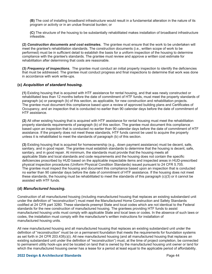**(B)** The cost of installing broadband infrastructure would result in a fundamental alteration in the nature of its program or activity or in an undue financial burden; or

**(C)** The structure of the housing to be substantially rehabilitated makes installation of broadband infrastructure infeasible.

**(2)** *Construction documents and cost estimates.* The grantee must ensure that the work to be undertaken will meet the grantee's rehabilitation standards. The construction documents (i.e., written scope of work to be performed) must be in sufficient detail to establish the basis for a uniform inspection of the housing to determine compliance with the grantee's standards. The grantee must review and approve a written cost estimate for rehabilitation after determining that costs are reasonable.

**(3)** *Frequency of inspections.* The grantee must conduct an initial property inspection to identify the deficiencies that must be addressed. The grantee must conduct progress and final inspections to determine that work was done in accordance with work write-ups.

## **(c)** *Acquisition of standard housing.*

**(1)** Existing housing that is acquired with HTF assistance for rental housing, and that was newly constructed or rehabilitated less than 12 months before the date of commitment of HTF funds, must meet the property standards of paragraph (a) or paragraph (b) of this section, as applicable, for new construction and rehabilitation projects. The grantee must document this compliance based upon a review of approved building plans and Certificates of Occupancy, and an inspection that is conducted no earlier than 90 calendar days before the date of commitment of HTF assistance.

**(2)** All other existing housing that is acquired with HTF assistance for rental housing must meet the rehabilitation property standards requirements of paragraph (b) of this section. The grantee must document this compliance based upon an inspection that is conducted no earlier than 90 calendar days before the date of commitment of HTF assistance. If the property does not meet these standards, HTF funds cannot be used to acquire the property unless it is rehabilitated to meet the standards of paragraph (b) of this section.

**(3)** Existing housing that is acquired for homeownership (e.g., down payment assistance) must be decent, safe, sanitary, and in good repair. The grantee must establish standards to determine that the housing is decent, safe, sanitary, and in good repair. At minimum, the standards must provide that the housing meets all applicable State and local standards and code requirements and the housing does not contain the specific deficiencies proscribed by HUD based on the applicable inspectable items and inspected areas in HUD-prescribed physical inspection procedures (Uniform Physical Condition Standards) issued pursuant to 24 CFR 5.705. The grantee must inspect the housing and document this compliance based upon an inspection that is conducted no earlier than 90 calendar days before the date of commitment of HTF assistance. If the housing does not meet these standards, the housing must be rehabilitated to meet the standards of this paragraph (c)(3) or it cannot be assisted with HTF funds.

## **(d)** *Manufactured housing.*

Construction of all manufactured housing (including manufactured housing that replaces an existing substandard unit under the definition of "reconstruction") must meet the Manufactured Home Construction and Safety Standards codified at 24 CFR part 3280. These standards preempt State and local codes which are not identical to the Federal standards for the new construction of manufactured housing. The grantees providing HTF funds to assist manufactured housing units must comply with applicable State and local laws or codes. In the absence of such laws or codes, the installation must comply with the manufacturer's written instructions for installation of manufactured housing units.

All new manufactured housing and all manufactured housing that replaces an existing substandard unit under the definition of "reconstruction" must be on a permanent foundation that meets the requirements for foundation systems as set forth in 24 CFR 203.43f(c)(i). All new manufactured housing (and all manufactured housing that replaces an existing substandard unit under the definition of "reconstruction") must, at the time of project completion, be connected to permanent utility hook-ups and be located on land that is owned by the manufactured housing unit owner or land for which the manufactured housing owner has a lease for a period at least equal to the applicable period of affordability.

#### **2022 Design & Architectural Standards** Page 44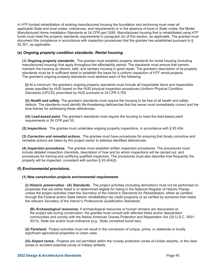In HTF-funded rehabilitation of existing manufactured housing the foundation and anchoring must meet all applicable State and local codes, ordinances, and requirements or in the absence of local or State codes, the Model Manufactured Home Installation Standards at 24 CFR part 3285. Manufactured housing that is rehabilitated using HTF funds must meet the property standards requirements in paragraph (b) of this section, as applicable. The grantee must document this compliance in accordance with inspection procedures that the grantee has established pursuant to § 92.301, as applicable.

## **(e)** *Ongoing property condition standards: Rental housing.*

**(1)** *Ongoing property standards.* The grantee must establish property standards for rental housing (including manufactured housing) that apply throughout the affordability period. The standards must ensure that owners maintain the housing as decent, safe, and sanitary housing in good repair. The grantee's description of its property standards must be in sufficient detail to establish the basis for a uniform inspection of HTF rental projects. The grantee's ongoing property standards must address each of the following:

**(i)** At a minimum, the grantee's ongoing property standards must include all inspectable items and inspectable areas specified by HUD based on the HUD physical inspection procedures (Uniform Physical Condition Standards (UPCS)) prescribed by HUD pursuant to 24 CFR 5.705.

**(ii)** *Health and safety.* The grantee's standards must require the housing to be free of all health and safety defects. The standards must identify life-threatening deficiencies that the owner must immediately correct and the time frames for addressing these deficiencies.

**(iii)** *Lead-based paint.* The grantee's standards must require the housing to meet the lead-based paint requirements in 24 CFR part 35.

**(2)** *Inspections.* The grantee must undertake ongoing property inspections, in accordance with § 93.404.

**(3)** *Corrective and remedial actions.*The grantee must have procedures for ensuring that timely corrective and remedial actions are taken by the project owner to address identified deficiencies.

**(4)** *Inspection procedures.* The grantee must establish written inspection procedures. The procedures must include detailed inspection checklists, description of how and by whom inspections will be carried out, and procedures for training and certifying qualified inspectors. The procedures must also describe how frequently the property will be inspected, consistent with section § 93.404(d).

## **(f)** *Environmental provisions.*

#### **(1)** *New construction projects environmental requirements*

**(i)** *Historic preservation* - **(A)** *Standards.*The project activities (including demolition) must not be performed on properties that are either listed in or determined eligible for listing in the National Register of Historic Places, unless the project activities meet the *Secretary of the Interior's Standards for Rehabilitation,* either as certified through the Federal and/or State historic rehabilitation tax credit programs or as verified by someone that meets the relevant *Secretary of the Interior's Professional Qualification Standards;*

**(B)** *Archaeological resources.* If archaeological resources or human remains are discovered on the project site during construction, the grantee must consult with affected tribes and/or descendant communities and comply with the Native American Graves Protection and Repatriation Act (25 U.S.C. 3001- 3013), State law and/or local ordinance (e.g., State unmarked burial law).

**(ii)** *Farmland.* Project activities must not result in the conversion of unique, prime, or statewide or locally significant agricultural properties to urban uses.

**(iii)** *Airport zones.* Projects are not permitted within the runway protection zones of civilian airports, or the clear zones or accident potential zones of military airfields.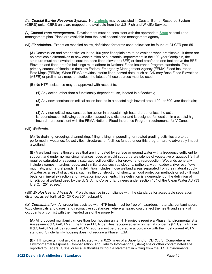*(iv) Coastal Barrier Resource System.* No **projects** may be assisted in Coastal Barrier Resource System (CBRS) units. CBRS units are mapped and available from the U.S. Fish and Wildlife Service.

*(v) Coastal zone management.* Development must be consistent with the appropriate **State** coastal zone management plan. Plans are available from the local coastal zone management agency.

**(vi)** *Floodplains.* Except as modified below, definitions for terms used below can be found at 24 CFR part 55.

**(A)** Construction and other activities in the 100-year floodplain are to be avoided when practicable. If there are no practicable alternatives to new construction or substantial improvement in the 100-year floodplain, the structure must be elevated at least the base flood elevation (BFE) or flood proofed to one foot above the BFE. Elevated and flood proofed buildings must adhere to National Flood Insurance Program standards. The primary sources of floodplain data are Federal Emergency Management Agency (FEMA) Flood Insurance Rate Maps (FIRMs). When FEMA provides interim flood hazard data, such as Advisory Base Flood Elevations (ABFE) or preliminary maps or studies, the latest of these sources must be used.

**(B)** No HTF assistance may be approved with respect to:

**(1)** Any action, other than a functionally dependent use, located in a floodway;

**(2)** Any new construction critical action located in a coastal high hazard area, 100- or 500-year floodplain; or

**(3)** Any non-critical new construction action in a coastal high hazard area, unless the action is reconstruction following destruction caused by a disaster and is designed for location in a coastal high hazard area consistent with the FEMA National Flood Insurance Program requirements for V-Zones.

#### **(vii)** *Wetlands.*

**(A)** No draining, dredging, channelizing, filling, diking, impounding, or related grading activities are to be performed in wetlands. No activities, structures, or facilities funded under this program are to adversely impact a wetland.

**(B)** A wetland means those areas that are inundated by surface or ground water with a frequency sufficient to support, and under normal circumstances, does or would support a prevalence of vegetative or aquatic life that requires saturated or seasonally saturated soil conditions for growth and reproduction. Wetlands generally include swamps, marshes, bogs, and similar areas such as sloughs, potholes, wet meadows, river overflows, mud flats, and natural ponds. This definition includes those wetland areas separated from their natural supply of water as a result of activities, such as the construction of structural flood protection methods or solid-fill road beds, or mineral extraction and navigation improvements. This definition is independent of the definition of jurisdictional wetland used by the U. S. Army Corps of Engineers under section 404 of the Clean Water Act (33 U.S.C. 1251 et seq.).

**(viii)** *Explosives and hazards.* Projects must be in compliance with the standards for acceptable separation distance, as set forth at 24 CFR part 51, subpart C.

**(ix)** *Contamination.* All properties assisted with HTF funds must be free of hazardous materials, contamination, toxic chemicals and gases, and radioactive substances, where a hazard could affect the health and safety of occupants or conflict with the intended use of the property.

**(A)** All proposed multifamily (more than four housing units) HTF projects require a Phase I Environmental Site Assessment (ESA-ASTM). If the Phase I ESA identifies recognized environmental concerns (RECs), a Phase II (ESA-ASTM) will be required. ASTM reports must be prepared in accordance with the most current ASTM standard. Single family housing does not require a Phase I ESA.

**(B)** HTF projects must avoid sites located within 0.25 miles of a Superfund or CERCLIS (Comprehensive Environmental Response, Compensation, and Liability Information System) site or other contaminated site reported to Federal, State, or local authorities without a statement in writing from the U.S. Environmental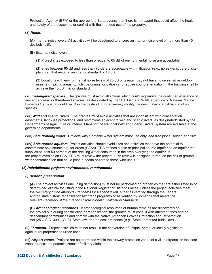Protection Agency (EPA) or the appropriate State agency that there is no hazard that could affect the health and safety of the occupants or conflict with the intended use of the property.

**(x)** *Noise.*

**(A)** Internal noise levels: All activities will be developed to ensure an interior noise level of no more than 45 decibels (dB).

**(B)** External noise levels:

**(1)** Project sites exposed to less than or equal to 65 dB of environmental noise are acceptable.

**(2)** Sites between 65 dB and less than 75 dB are acceptable with mitigation (e.g., noise walls, careful site planning) that result in an interior standard of 45 dB.

**(3)** Locations with environmental noise levels of 75 dB or greater may not have noise sensitive outdoor uses (e.g., picnic areas, tot lots, balconies, or patios) and require sound attenuation in the building shell to achieve the 45 dB interior standard.

**(xi)** *Endangered species.* The grantee must avoid all actions which could jeopardize the continued existence of any endangered or threatened species, as designated by the U.S. Fish and Wildlife Service or National Marine Fisheries Service, or would result in the destruction or adversely modify the designated critical habitat of such species.

**(xii)** *Wild and scenic rivers.* The grantee must avoid activities that are inconsistent with conservation easements, land-use protections, and restrictions adjacent to wild and scenic rivers, as designated/listed by the Departments of Agriculture or Interior. Maps for the National Wild and Scenic Rivers System are available at the governing departments.

**(xiii)** *Safe drinking water.* Projects with a potable water system must use only lead-free pipes, solder, and flux.

**(xiv)** *Sole-source aquifers.* Project activities should avoid sites and activities that have the potential to contaminate sole source aquifer areas (SSAs). EPA defines a sole or principal source aquifer as an aquifer that supplies at least 50 percent of the drinking water consumed in the area overlying the aquifer. If the project overlies an SSA, EPA must review the project. EPA review is designed to reduce the risk of ground water contamination that could pose a health hazard to those who use it.

#### **(2)** *Rehabilitation projects environmental requirements*.

#### *(i) Historic preservation.*

**(A)** The project activities (including demolition) must not be performed on properties that are either listed in or determined eligible for listing in the National Register of Historic Places, unless the project activities meet the *Secretary of the Interior's Standards for Rehabilitation,* either as certified through the Federal and/or State historic rehabilitation tax credit programs or as verified by someone that meets the relevant *Secretary of the Interior's Professional Qualification Standards;*

**(B)** *Archaeological resources.* If archaeological resources or human remains are discovered on the project site during construction or rehabilitation, the grantee must consult with affected tribes and/or descendant communities and comply with the Native American Graves Protection and Repatriation Act (25 U.S.C. 3001-3013), State law, and/or local ordinance (*e.g.,* State unmarked burial law).

**(ii)** *Farmland.* Project activities must not result in the conversion of unique, prime, or locally significant agricultural properties to urban uses.

**(iii)** *Airport zones.* Projects are not permitted within the runway protection zones of civilian airports, or the clear zones or accident potential zones of military airfields.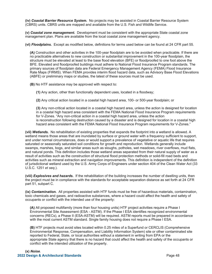**(iv)** *Coastal Barrier Resource System.* No projects may be assisted in Coastal Barrier Resource System (CBRS) units. CBRS units are mapped and available from the U.S. Fish and Wildlife Service.

**(v)** *Coastal zone management.* Development must be consistent with the appropriate State coastal zone management plan. Plans are available from the local coastal zone management agency.

**(vi)** *Floodplains.* Except as modified below, definitions for terms used below can be found at 24 CFR part 55.

**(A)** Construction and other activities in the 100-year floodplain are to be avoided when practicable. If there are no practicable alternatives to new construction or substantial improvement in the 100-year floodplain, the structure must be elevated at least to the base flood elevation (BFE) or floodproofed to one foot above the BFE. Elevated and floodproofed buildings must adhere to National Flood Insurance Program standards. The primary sources of floodplain data are Federal Emergency Management Agency (FEMA) Flood Insurance Rate Maps (FIRMS). When FEMA provides interim flood hazard data, such as Advisory Base Flood Elevations (ABFE) or preliminary maps or studies, the latest of these sources must be used.

**(B)** No HTF assistance may be approved with respect to:

**(1)** Any action, other than functionally dependent uses, located in a floodway;

**(2)** Any critical action located in a coastal high hazard area, 100- or 500-year floodplain; or

**(3)** Any non-critical action located in a coastal high hazard area, unless the action is designed for location in a coastal high hazard area consistent with the FEMA National Flood Insurance Program requirements for V-Zones. "Any non-critical action in a coastal high hazard area, unless the action is reconstruction following destruction caused by a disaster and is designed for location in a coastal high hazard area consistent with the FEMA National Flood Insurance Program requirements for V-Zones."

**(vii)** *Wetlands.* No rehabilitation of existing properties that expands the footprint into a wetland is allowed. A wetland means those areas that are inundated by surface or ground water with a frequency sufficient to support, and under normal circumstances, does or would support a prevalence of vegetative or aquatic life that requires saturated or seasonally saturated soil conditions for growth and reproduction. Wetlands generally include swamps, marshes, bogs, and similar areas such as sloughs, potholes, wet meadows, river overflows, mud flats, and natural ponds. This definition includes those wetland areas separated from their natural supply of water as a result of activities such as the construction of structural flood protection methods or solid-fill road beds and activities such as mineral extraction and navigation improvements. This definition is independent of the definition of jurisdictional wetland used by the U.S. Army Corps of Engineers under section 404 of the Clean Water Act (33 U.S.C. 1251 *et seq.*).

**(viii)** *Explosives and hazards.* If the rehabilitation of the building increases the number of dwelling units, then the project must be in compliance with the standards for acceptable separation distance as set forth at 24 CFR part 51, subpart C.

**(ix)** *Contamination.* All properties assisted with HTF funds must be free of hazardous materials, contamination, toxic chemicals and gases, and radioactive substances, where a hazard could affect the health and safety of occupants or conflict with the intended use of the property:

**(A)** All proposed multifamily (more than four housing units) HTF project activities require a Phase I Environmental Site Assessment (ESA - ASTM). If the Phase I ESA identifies recognized environmental concerns (RECs), a Phase II (ESA-ASTM) will be required. ASTM reports must be prepared in accordance with the most current ASTM standard. Single family housing does not require a Phase I ESA.

**(B)** HTF projects must avoid sites located within 0.25 miles of a Superfund or CERCLIS (Comprehensive Environmental Response, Compensation, and Liability Information System) site or other contaminated site reported to Federal, State, or local authorities without a statement in writing from EPA or the appropriate State agency that there is no hazard that could affect the health and safety of the occupants or conflict with the intended utilization of the property.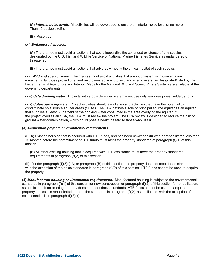**(A)** *Internal noise levels.* All activities will be developed to ensure an interior noise level of no more Than 45 decibels (dB).

**(B)** [Reserved].

#### **(xi)** *Endangered species.*

**(A)** The grantee must avoid all actions that could jeopardize the continued existence of any species designated by the U.S. Fish and Wildlife Service or National Marine Fisheries Service as endangered or threatened.

**(B)** The grantee must avoid all actions that adversely modify the critical habitat of such species.

**(xii)** *Wild and scenic rivers.* The grantee must avoid activities that are inconsistent with conservation easements, land-use protections, and restrictions adjacent to wild and scenic rivers, as designated/listed by the Departments of Agriculture and Interior. Maps for the National Wild and Scenic Rivers System are available at the governing departments.

**(xiii)** *Safe drinking water.* Projects with a potable water system must use only lead-free pipes, solder, and flux.

**(xiv)** *Sole-source aquifers.* Project activities should avoid sites and activities that have the potential to contaminate sole source aquifer areas (SSAs). The EPA defines a sole or principal source aquifer as an aquifer that supplies at least 50 percent of the drinking water consumed in the area overlying the aquifer. If the project overlies an SSA, the EPA must review the project. The EPA review is designed to reduce the risk of ground water contamination, which could pose a health hazard to those who use it.

#### **(3)** *Acquisition projects environmental requirements.*

**(i) (A)** Existing housing that is acquired with HTF funds, and has been newly constructed or rehabilitated less than 12 months before the commitment of HTF funds must meet the property standards at paragraph (f)(1) of this section.

**(B)** All other existing housing that is acquired with HTF assistance must meet the property standards requirements of paragraph (f)(2) of this section.

**(ii)** If under paragraph (f)(3)(i)(A) or paragraph (B) of this section, the property does not meet these standards, with the exception of the noise standards in paragraph (f)(2) of this section, HTF funds cannot be used to acquire the property.

**(4)** *Manufactured housing environmental requirements.* Manufactured housing is subject to the environmental standards in paragraph (f)(1) of this section for new construction or paragraph (f)(2) of this section for rehabilitation, as applicable. If an existing property does not meet these standards, HTF funds cannot be used to acquire the property unless it is rehabilitated to meet the standards in paragraph (f)(2), as applicable, with the exception of noise standards in paragraph (f)(2)(x).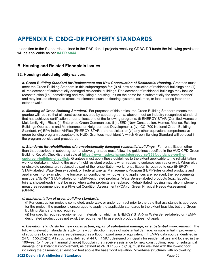# **APPENDIX F: CBDG-DR PROPERTY STANDARDS**

In addition to the Standards outlined in the DAS, for all projects receiving CDBG-DR funds the following provisions will be applicable as per **84 FR 5844**.

# **B. Housing and Related Floodplain Issues**

## **32. Housing-related eligibility waivers.**

*a. Green Building Standard for Replacement and New Construction of Residential Housing.* Grantees must meet the Green Building Standard in this subparagraph for: (i) All new construction of residential buildings and (ii) all replacement of substantially damaged residential buildings. Replacement of residential buildings may include reconstruction (i.e., demolishing and rebuilding a housing unit on the same lot in substantially the same manner) and may include changes to structural elements such as flooring systems, columns, or load bearing interior or exterior walls.

*b. Meaning of Green Building Standard.* For purposes of this notice, the Green Building Standard means the grantee will require that all construction covered by subparagraph a, above, meet an industry-recognized standard that has achieved certification under at least one of the following programs: (i) ENERGY STAR (Certified Homes or Multifamily High-Rise), (ii) Enterprise Green Communities, (iii) LEED (New Construction, Homes, Midrise, Existing Buildings Operations and Maintenance, or Neighborhood Development), (iv) ICC–700 National Green Building Standard, (v) EPA Indoor AirPlus (ENERGY STAR a prerequisite), or (vi) any other equivalent comprehensive green building program acceptable to HUD. Grantees must identify which Green Building Standard will be used in the program policies and procedures.

*c. Standards for rehabilitation of nonsubstantially damaged residential buildings.* For rehabilitation other than that described in subparagraph a, above, grantees must follow the guidelines specified in the HUD CPD Green Building Retrofit Checklist, available at **https://www.hudexchange.info/resource/3684/guidance-on-thecpdgreen-building-checklist/**. Grantees must apply these guidelines to the extent applicable to the rehabilitation work undertaken, including the use of mold resistant products when replacing surfaces such as drywall. When older or obsolete products are replaced as part of the rehabilitation work, rehabilitation is required to use ENERGY STAR-labeled, WaterSense-labeled, or Federal Energy Management Program (FEMP)-designated products and appliances. For example, if the furnace, air conditioner, windows, and appliances are replaced, the replacements must be ENERGY STAR-labeled or FEMP-designated products; WaterSense-labeled products (e.g., faucets, toilets, showerheads) must be used when water products are replaced. Rehabilitated housing may also implement measures recommended in a Physical Condition Assessment (PCA) or Green Physical Needs Assessment (GPNA).

#### *d. Implementation of green building standards.*

(i) For construction projects completed, underway, or under contract prior to the date that assistance is approved for the project, the grantee is encouraged to apply the applicable standards to the extent feasible, but the Green Building Standard is not required.

(ii) For specific required equipment or materials for which an ENERGY STAR- or WaterSense-labeled or FEMPdesignated product does not exist, the requirement to use such products does not apply.

*e. Elevation standards for new construction, repair of substantial damage, or substantial improvement.* The following elevation standards apply to new construction, repair of substantial damage, or substantial improvement of structures located in an area delineated as a flood hazard area or equivalent in FEMA's data source identified in 24 CFR 55.2(b)(1). All structures, defined at 44 CFR 59.1, designed principally for residential use and located in the 100-year (or 1 percent annual chance) floodplain that receive assistance for new construction, repair of substantial damage, or substantial improvement, as defined at 24 CFR 55.2(b)(10), must be elevated with the lowest floor, including the basement, at least two feet above the base flood elevation. Mixed-use structures with no dwelling